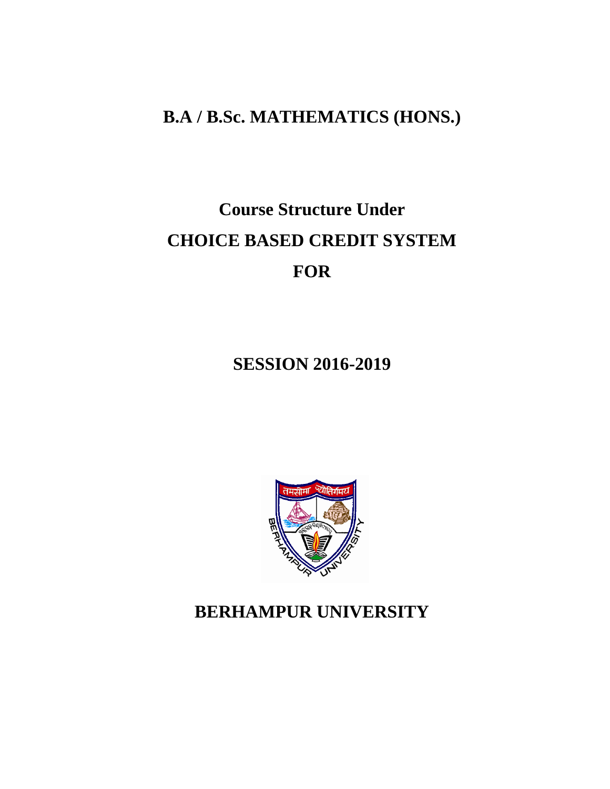## **B.A / B.Sc. MATHEMATICS (HONS.)**

# **Course Structure Under CHOICE BASED CREDIT SYSTEM FOR**

**SESSION 2016-2019**



# **BERHAMPUR UNIVERSITY**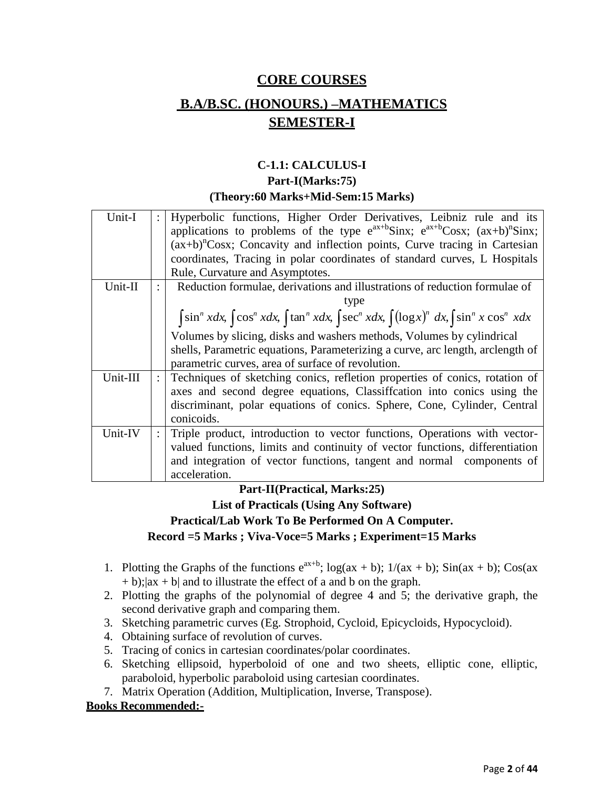## **CORE COURSES B.A/B.SC. (HONOURS.) –MATHEMATICS SEMESTER-I**

## **C-1.1: CALCULUS-I**

## **Part-I(Marks:75) (Theory:60 Marks+Mid-Sem:15 Marks)**

| Unit-I   |                      | Hyperbolic functions, Higher Order Derivatives, Leibniz rule and its<br>applications to problems of the type $e^{ax+b}$ Sinx; $e^{ax+b}$ Cosx; $(ax+b)^n$ Sinx; |
|----------|----------------------|-----------------------------------------------------------------------------------------------------------------------------------------------------------------|
|          |                      | $(ax+b)^n$ Cosx; Concavity and inflection points, Curve tracing in Cartesian                                                                                    |
|          |                      | coordinates, Tracing in polar coordinates of standard curves, L Hospitals                                                                                       |
|          |                      | Rule, Curvature and Asymptotes.                                                                                                                                 |
| Unit-II  |                      | Reduction formulae, derivations and illustrations of reduction formulae of                                                                                      |
|          |                      |                                                                                                                                                                 |
|          |                      | $\int \sin^n x dx$ , $\int \cos^n x dx$ , $\int \tan^n x dx$ , $\int \sec^n x dx$ , $\int (\log x)^n dx$ , $\int \sin^n x \cos^n x dx$                          |
|          |                      | Volumes by slicing, disks and washers methods, Volumes by cylindrical                                                                                           |
|          |                      | shells, Parametric equations, Parameterizing a curve, arc length, arclength of                                                                                  |
|          |                      | parametric curves, area of surface of revolution.                                                                                                               |
| Unit-III | $\ddot{\phantom{0}}$ | Techniques of sketching conics, refletion properties of conics, rotation of                                                                                     |
|          |                      | axes and second degree equations, Classiffcation into conics using the                                                                                          |
|          |                      | discriminant, polar equations of conics. Sphere, Cone, Cylinder, Central                                                                                        |
|          |                      | conicoids.                                                                                                                                                      |
| Unit-IV  |                      | Triple product, introduction to vector functions, Operations with vector-                                                                                       |
|          |                      | valued functions, limits and continuity of vector functions, differentiation                                                                                    |
|          |                      | and integration of vector functions, tangent and normal components of                                                                                           |
|          |                      | acceleration.                                                                                                                                                   |
|          |                      |                                                                                                                                                                 |

## **Part-II(Practical, Marks:25) List of Practicals (Using Any Software) Practical/Lab Work To Be Performed On A Computer.**

- **Record =5 Marks ; Viva-Voce=5 Marks ; Experiment=15 Marks**
- 1. Plotting the Graphs of the functions  $e^{ax+b}$ ;  $\log(ax + b)$ ;  $1/(ax + b)$ ;  $\sin(ax + b)$ ;  $\cos(ax + b)$  $+ b$ ;  $|ax + b|$  and to illustrate the effect of a and b on the graph.
- 2. Plotting the graphs of the polynomial of degree 4 and 5; the derivative graph, the second derivative graph and comparing them.
- 3. Sketching parametric curves (Eg. Strophoid, Cycloid, Epicycloids, Hypocycloid).
- 4. Obtaining surface of revolution of curves.
- 5. Tracing of conics in cartesian coordinates/polar coordinates.
- 6. Sketching ellipsoid, hyperboloid of one and two sheets, elliptic cone, elliptic, paraboloid, hyperbolic paraboloid using cartesian coordinates.
- 7. Matrix Operation (Addition, Multiplication, Inverse, Transpose).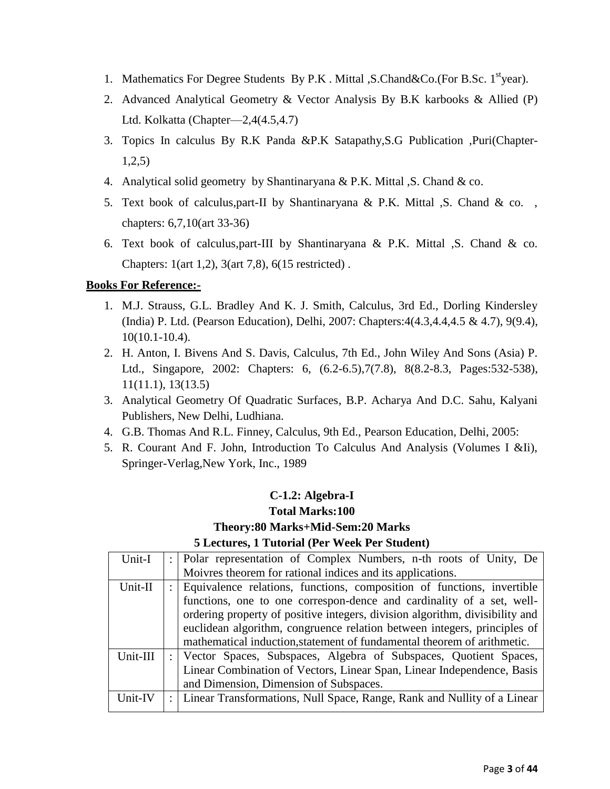- 1. Mathematics For Degree Students By P.K. Mittal , S.Chand & Co. (For B.Sc. 1<sup>st</sup>year).
- 2. Advanced Analytical Geometry & Vector Analysis By B.K karbooks & Allied (P) Ltd. Kolkatta (Chapter—2,4(4.5,4.7)
- 3. Topics In calculus By R.K Panda &P.K Satapathy,S.G Publication ,Puri(Chapter-1,2,5)
- 4. Analytical solid geometry by Shantinaryana & P.K. Mittal ,S. Chand & co.
- 5. Text book of calculus,part-II by Shantinaryana & P.K. Mittal ,S. Chand & co. , chapters: 6,7,10(art 33-36)
- 6. Text book of calculus,part-III by Shantinaryana & P.K. Mittal ,S. Chand & co. Chapters: 1(art 1,2), 3(art 7,8), 6(15 restricted) .

## **Books For Reference:-**

- 1. M.J. Strauss, G.L. Bradley And K. J. Smith, Calculus, 3rd Ed., Dorling Kindersley (India) P. Ltd. (Pearson Education), Delhi, 2007: Chapters:4(4.3,4.4,4.5 & 4.7), 9(9.4), 10(10.1-10.4).
- 2. H. Anton, I. Bivens And S. Davis, Calculus, 7th Ed., John Wiley And Sons (Asia) P. Ltd., Singapore, 2002: Chapters: 6, (6.2-6.5),7(7.8), 8(8.2-8.3, Pages:532-538), 11(11.1), 13(13.5)
- 3. Analytical Geometry Of Quadratic Surfaces, B.P. Acharya And D.C. Sahu, Kalyani Publishers, New Delhi, Ludhiana.
- 4. G.B. Thomas And R.L. Finney, Calculus, 9th Ed., Pearson Education, Delhi, 2005:
- 5. R. Courant And F. John, Introduction To Calculus And Analysis (Volumes I &Ii), Springer-Verlag,New York, Inc., 1989

## **C-1.2: Algebra-I Total Marks:100 Theory:80 Marks+Mid-Sem:20 Marks 5 Lectures, 1 Tutorial (Per Week Per Student)**

| Unit-I   | Polar representation of Complex Numbers, n-th roots of Unity, De             |
|----------|------------------------------------------------------------------------------|
|          | Moivres theorem for rational indices and its applications.                   |
| Unit-II  | Equivalence relations, functions, composition of functions, invertible       |
|          | functions, one to one correspon-dence and cardinality of a set, well-        |
|          | ordering property of positive integers, division algorithm, divisibility and |
|          | euclidean algorithm, congruence relation between integers, principles of     |
|          | mathematical induction, statement of fundamental theorem of arithmetic.      |
| Unit-III | Vector Spaces, Subspaces, Algebra of Subspaces, Quotient Spaces,             |
|          | Linear Combination of Vectors, Linear Span, Linear Independence, Basis       |
|          | and Dimension, Dimension of Subspaces.                                       |
| Unit-IV  | Linear Transformations, Null Space, Range, Rank and Nullity of a Linear      |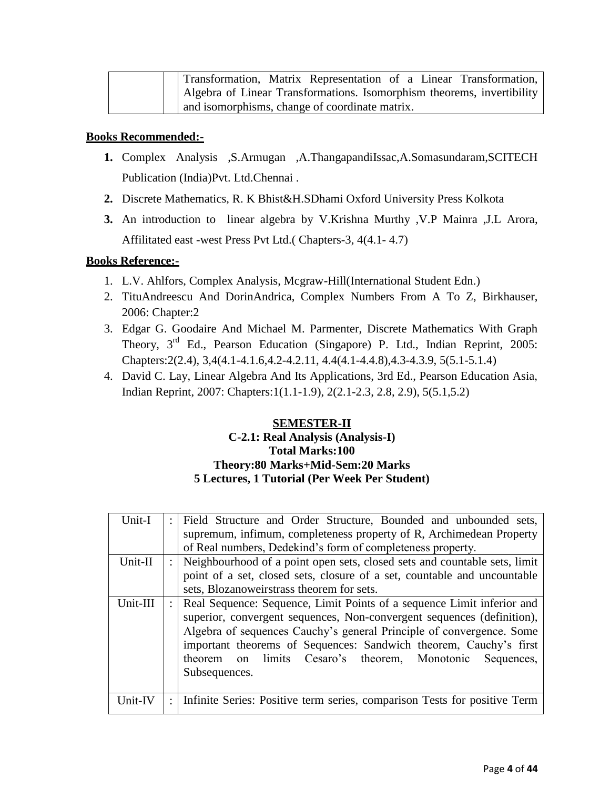| Transformation, Matrix Representation of a Linear Transformation,      |
|------------------------------------------------------------------------|
| Algebra of Linear Transformations. Isomorphism theorems, invertibility |
| and isomorphisms, change of coordinate matrix.                         |

- **1.** Complex Analysis ,S.Armugan ,A.ThangapandiIssac,A.Somasundaram,SCITECH Publication (India)Pvt. Ltd.Chennai .
- **2.** Discrete Mathematics, R. K Bhist&H.SDhami Oxford University Press Kolkota
- **3.** An introduction to linear algebra by V.Krishna Murthy ,V.P Mainra ,J.L Arora, Affilitated east -west Press Pvt Ltd.( Chapters-3, 4(4.1- 4.7)

## **Books Reference:-**

- 1. L.V. Ahlfors, Complex Analysis, Mcgraw-Hill(International Student Edn.)
- 2. TituAndreescu And DorinAndrica, Complex Numbers From A To Z, Birkhauser, 2006: Chapter:2
- 3. Edgar G. Goodaire And Michael M. Parmenter, Discrete Mathematics With Graph Theory, 3<sup>rd</sup> Ed., Pearson Education (Singapore) P. Ltd., Indian Reprint, 2005: Chapters:2(2.4), 3,4(4.1-4.1.6,4.2-4.2.11, 4.4(4.1-4.4.8),4.3-4.3.9, 5(5.1-5.1.4)
- 4. David C. Lay, Linear Algebra And Its Applications, 3rd Ed., Pearson Education Asia, Indian Reprint, 2007: Chapters:1(1.1-1.9), 2(2.1-2.3, 2.8, 2.9), 5(5.1,5.2)

## **SEMESTER-II**

## **C-2.1: Real Analysis (Analysis-I) Total Marks:100 Theory:80 Marks+Mid-Sem:20 Marks 5 Lectures, 1 Tutorial (Per Week Per Student)**

| Unit-I   | Field Structure and Order Structure, Bounded and unbounded sets,          |
|----------|---------------------------------------------------------------------------|
|          | supremum, infimum, completeness property of R, Archimedean Property       |
|          | of Real numbers, Dedekind's form of completeness property.                |
| Unit-II  | Neighbourhood of a point open sets, closed sets and countable sets, limit |
|          | point of a set, closed sets, closure of a set, countable and uncountable  |
|          | sets, Blozanoweirstrass theorem for sets.                                 |
| Unit-III | Real Sequence: Sequence, Limit Points of a sequence Limit inferior and    |
|          | superior, convergent sequences, Non-convergent sequences (definition),    |
|          | Algebra of sequences Cauchy's general Principle of convergence. Some      |
|          | important theorems of Sequences: Sandwich theorem, Cauchy's first         |
|          | limits Cesaro's theorem, Monotonic Sequences,<br>theorem<br>on            |
|          | Subsequences.                                                             |
|          |                                                                           |
| Unit-IV  | Infinite Series: Positive term series, comparison Tests for positive Term |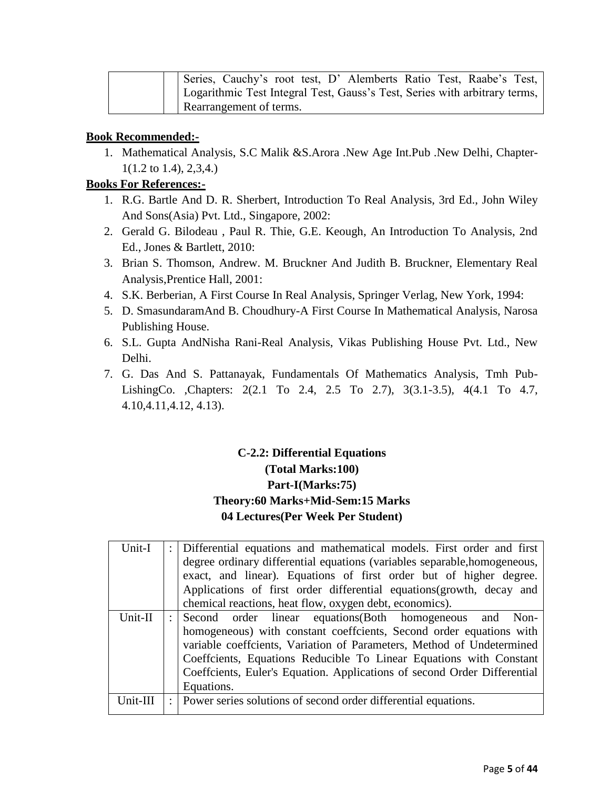| Series, Cauchy's root test, D' Alemberts Ratio Test, Raabe's Test,         |
|----------------------------------------------------------------------------|
| Logarithmic Test Integral Test, Gauss's Test, Series with arbitrary terms, |
| Rearrangement of terms.                                                    |

1. Mathematical Analysis, S.C Malik &S.Arora .New Age Int.Pub .New Delhi, Chapter-1(1.2 to 1.4), 2,3,4.)

## **Books For References:-**

- 1. R.G. Bartle And D. R. Sherbert, Introduction To Real Analysis, 3rd Ed., John Wiley And Sons(Asia) Pvt. Ltd., Singapore, 2002:
- 2. Gerald G. Bilodeau , Paul R. Thie, G.E. Keough, An Introduction To Analysis, 2nd Ed., Jones & Bartlett, 2010:
- 3. Brian S. Thomson, Andrew. M. Bruckner And Judith B. Bruckner, Elementary Real Analysis,Prentice Hall, 2001:
- 4. S.K. Berberian, A First Course In Real Analysis, Springer Verlag, New York, 1994:
- 5. D. SmasundaramAnd B. Choudhury-A First Course In Mathematical Analysis, Narosa Publishing House.
- 6. S.L. Gupta AndNisha Rani-Real Analysis, Vikas Publishing House Pvt. Ltd., New Delhi.
- 7. G. Das And S. Pattanayak, Fundamentals Of Mathematics Analysis, Tmh Pub-LishingCo. ,Chapters: 2(2.1 To 2.4, 2.5 To 2.7), 3(3.1-3.5), 4(4.1 To 4.7, 4.10,4.11,4.12, 4.13).

## **C-2.2: Differential Equations (Total Marks:100) Part-I(Marks:75) Theory:60 Marks+Mid-Sem:15 Marks 04 Lectures(Per Week Per Student)**

| Unit-I   |                      | : Differential equations and mathematical models. First order and first<br>degree ordinary differential equations (variables separable, homogeneous,<br>exact, and linear). Equations of first order but of higher degree.<br>Applications of first order differential equations (growth, decay and          |
|----------|----------------------|--------------------------------------------------------------------------------------------------------------------------------------------------------------------------------------------------------------------------------------------------------------------------------------------------------------|
|          |                      | chemical reactions, heat flow, oxygen debt, economics).                                                                                                                                                                                                                                                      |
| Unit-II  | $\ddot{\phantom{a}}$ | Second order linear equations (Both homogeneous and Non-                                                                                                                                                                                                                                                     |
|          |                      | homogeneous) with constant coeffcients, Second order equations with<br>variable coeffcients, Variation of Parameters, Method of Undetermined<br>Coeffcients, Equations Reducible To Linear Equations with Constant<br>Coeffcients, Euler's Equation. Applications of second Order Differential<br>Equations. |
| Unit-III |                      | : Power series solutions of second order differential equations.                                                                                                                                                                                                                                             |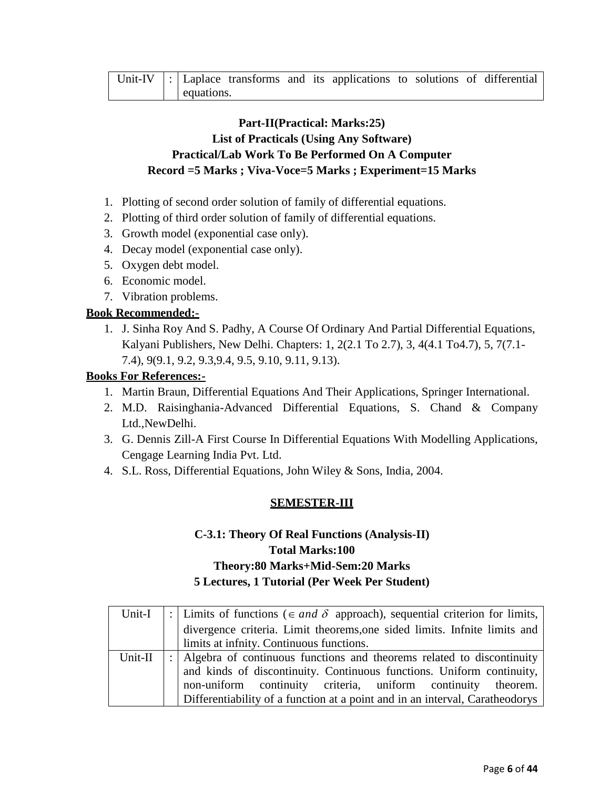|  |            |  | Unit-IV $\vert$ : Laplace transforms and its applications to solutions of differential |  |  |
|--|------------|--|----------------------------------------------------------------------------------------|--|--|
|  | equations. |  |                                                                                        |  |  |

## **Part-II(Practical: Marks:25) List of Practicals (Using Any Software) Practical/Lab Work To Be Performed On A Computer Record =5 Marks ; Viva-Voce=5 Marks ; Experiment=15 Marks**

- 1. Plotting of second order solution of family of differential equations.
- 2. Plotting of third order solution of family of differential equations.
- 3. Growth model (exponential case only).
- 4. Decay model (exponential case only).
- 5. Oxygen debt model.
- 6. Economic model.
- 7. Vibration problems.

## **Book Recommended:-**

1. J. Sinha Roy And S. Padhy, A Course Of Ordinary And Partial Differential Equations, Kalyani Publishers, New Delhi. Chapters: 1, 2(2.1 To 2.7), 3, 4(4.1 To4.7), 5, 7(7.1- 7.4), 9(9.1, 9.2, 9.3,9.4, 9.5, 9.10, 9.11, 9.13).

#### **Books For References:-**

- 1. Martin Braun, Differential Equations And Their Applications, Springer International.
- 2. M.D. Raisinghania-Advanced Differential Equations, S. Chand & Company Ltd.,NewDelhi.
- 3. G. Dennis Zill-A First Course In Differential Equations With Modelling Applications, Cengage Learning India Pvt. Ltd.
- 4. S.L. Ross, Differential Equations, John Wiley & Sons, India, 2004.

## **SEMESTER-III**

## **C-3.1: Theory Of Real Functions (Analysis-II) Total Marks:100 Theory:80 Marks+Mid-Sem:20 Marks 5 Lectures, 1 Tutorial (Per Week Per Student)**

| Unit-I  | :   Limits of functions ( $\in$ and $\delta$ approach), sequential criterion for limits, |
|---------|------------------------------------------------------------------------------------------|
|         | divergence criteria. Limit theorems, one sided limits. Infnite limits and                |
|         | limits at infnity. Continuous functions.                                                 |
| Unit-II | : Algebra of continuous functions and theorems related to discontinuity                  |
|         | and kinds of discontinuity. Continuous functions. Uniform continuity,                    |
|         | non-uniform continuity criteria, uniform continuity theorem.                             |
|         | Differentiability of a function at a point and in an interval, Caratheodorys             |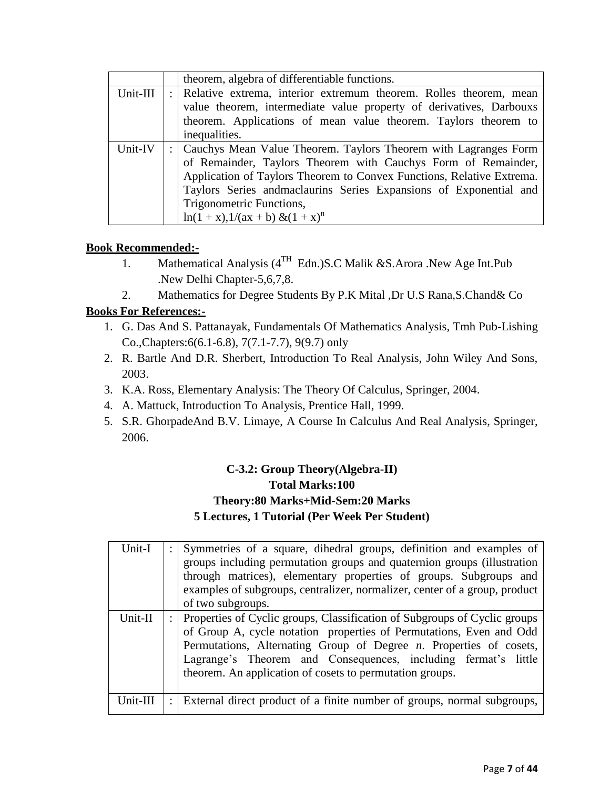|          |              | theorem, algebra of differentiable functions.                         |
|----------|--------------|-----------------------------------------------------------------------|
| Unit-III | $\therefore$ | Relative extrema, interior extremum theorem. Rolles theorem, mean     |
|          |              | value theorem, intermediate value property of derivatives, Darbouxs   |
|          |              | theorem. Applications of mean value theorem. Taylors theorem to       |
|          |              | inequalities.                                                         |
| Unit-IV  |              | Cauchys Mean Value Theorem. Taylors Theorem with Lagranges Form       |
|          |              | of Remainder, Taylors Theorem with Cauchys Form of Remainder,         |
|          |              | Application of Taylors Theorem to Convex Functions, Relative Extrema. |
|          |              | Taylors Series and maclaurins Series Expansions of Exponential and    |
|          |              | Trigonometric Functions,                                              |
|          |              | $\ln(1+x)$ , $1/(ax + b) \& (1+x)^n$                                  |

- 1. Mathematical Analysis (4<sup>TH</sup> Edn.) S.C Malik & S. Arora .New Age Int. Pub .New Delhi Chapter-5,6,7,8.
- 2. Mathematics for Degree Students By P.K Mital ,Dr U.S Rana,S.Chand& Co

## **Books For References:-**

- 1. G. Das And S. Pattanayak, Fundamentals Of Mathematics Analysis, Tmh Pub-Lishing Co.,Chapters:6(6.1-6.8), 7(7.1-7.7), 9(9.7) only
- 2. R. Bartle And D.R. Sherbert, Introduction To Real Analysis, John Wiley And Sons, 2003.
- 3. K.A. Ross, Elementary Analysis: The Theory Of Calculus, Springer, 2004.
- 4. A. Mattuck, Introduction To Analysis, Prentice Hall, 1999.
- 5. S.R. GhorpadeAnd B.V. Limaye, A Course In Calculus And Real Analysis, Springer, 2006.

## **C-3.2: Group Theory(Algebra-II) Total Marks:100 Theory:80 Marks+Mid-Sem:20 Marks 5 Lectures, 1 Tutorial (Per Week Per Student)**

| Unit-I<br>Unit-II |   | Symmetries of a square, dihedral groups, definition and examples of<br>groups including permutation groups and quaternion groups (illustration<br>through matrices), elementary properties of groups. Subgroups and<br>examples of subgroups, centralizer, normalizer, center of a group, product<br>of two subgroups.<br>Properties of Cyclic groups, Classification of Subgroups of Cyclic groups<br>of Group A, cycle notation properties of Permutations, Even and Odd<br>Permutations, Alternating Group of Degree $n$ . Properties of cosets,<br>Lagrange's Theorem and Consequences, including fermat's little<br>theorem. An application of cosets to permutation groups. |
|-------------------|---|-----------------------------------------------------------------------------------------------------------------------------------------------------------------------------------------------------------------------------------------------------------------------------------------------------------------------------------------------------------------------------------------------------------------------------------------------------------------------------------------------------------------------------------------------------------------------------------------------------------------------------------------------------------------------------------|
| Unit-III          | ÷ | External direct product of a finite number of groups, normal subgroups,                                                                                                                                                                                                                                                                                                                                                                                                                                                                                                                                                                                                           |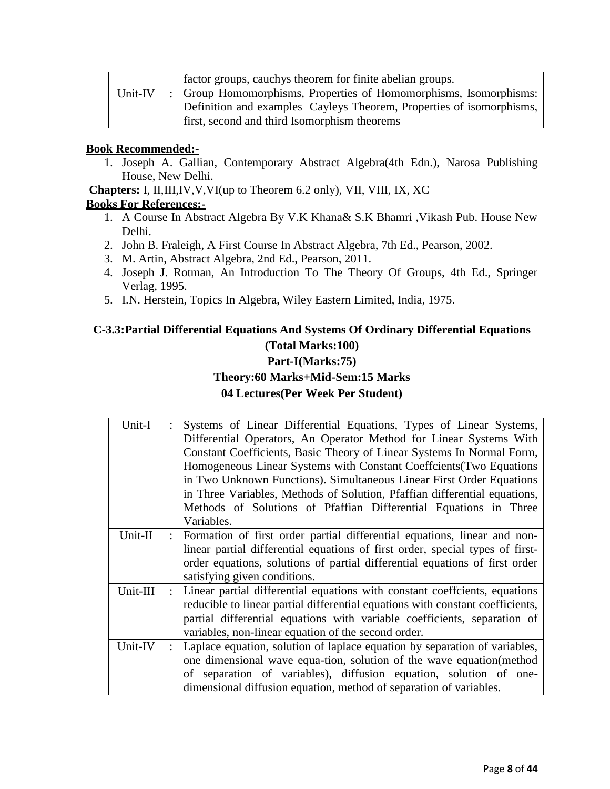|         | factor groups, cauchys theorem for finite abelian groups.            |
|---------|----------------------------------------------------------------------|
| Unit-IV | :   Group Homomorphisms, Properties of Homomorphisms, Isomorphisms:  |
|         | Definition and examples Cayleys Theorem, Properties of isomorphisms, |
|         | first, second and third Isomorphism theorems                         |

1. Joseph A. Gallian, Contemporary Abstract Algebra(4th Edn.), Narosa Publishing House, New Delhi.

**Chapters:** I, II,III,IV,V,VI(up to Theorem 6.2 only), VII, VIII, IX, XC

## **Books For References:-**

- 1. A Course In Abstract Algebra By V.K Khana& S.K Bhamri ,Vikash Pub. House New Delhi.
- 2. John B. Fraleigh, A First Course In Abstract Algebra, 7th Ed., Pearson, 2002.
- 3. M. Artin, Abstract Algebra, 2nd Ed., Pearson, 2011.
- 4. Joseph J. Rotman, An Introduction To The Theory Of Groups, 4th Ed., Springer Verlag, 1995.
- 5. I.N. Herstein, Topics In Algebra, Wiley Eastern Limited, India, 1975.

## **C-3.3:Partial Differential Equations And Systems Of Ordinary Differential Equations (Total Marks:100) Part-I(Marks:75) Theory:60 Marks+Mid-Sem:15 Marks 04 Lectures(Per Week Per Student)**

| Unit-I   | Systems of Linear Differential Equations, Types of Linear Systems,<br>Differential Operators, An Operator Method for Linear Systems With<br>Constant Coefficients, Basic Theory of Linear Systems In Normal Form,<br>Homogeneous Linear Systems with Constant Coeffcients (Two Equations |  |  |  |  |
|----------|------------------------------------------------------------------------------------------------------------------------------------------------------------------------------------------------------------------------------------------------------------------------------------------|--|--|--|--|
|          | in Two Unknown Functions). Simultaneous Linear First Order Equations                                                                                                                                                                                                                     |  |  |  |  |
|          | in Three Variables, Methods of Solution, Pfaffian differential equations,                                                                                                                                                                                                                |  |  |  |  |
|          | Methods of Solutions of Pfaffian Differential Equations in Three                                                                                                                                                                                                                         |  |  |  |  |
|          | Variables.                                                                                                                                                                                                                                                                               |  |  |  |  |
| Unit-II  | Formation of first order partial differential equations, linear and non-                                                                                                                                                                                                                 |  |  |  |  |
|          | linear partial differential equations of first order, special types of first-                                                                                                                                                                                                            |  |  |  |  |
|          | order equations, solutions of partial differential equations of first order                                                                                                                                                                                                              |  |  |  |  |
|          | satisfying given conditions.                                                                                                                                                                                                                                                             |  |  |  |  |
| Unit-III | Linear partial differential equations with constant coeffcients, equations                                                                                                                                                                                                               |  |  |  |  |
|          | reducible to linear partial differential equations with constant coefficients,                                                                                                                                                                                                           |  |  |  |  |
|          | partial differential equations with variable coefficients, separation of                                                                                                                                                                                                                 |  |  |  |  |
|          | variables, non-linear equation of the second order.                                                                                                                                                                                                                                      |  |  |  |  |
| Unit-IV  | Laplace equation, solution of laplace equation by separation of variables,                                                                                                                                                                                                               |  |  |  |  |
|          | one dimensional wave equa-tion, solution of the wave equation (method                                                                                                                                                                                                                    |  |  |  |  |
|          | of separation of variables), diffusion equation, solution of one-                                                                                                                                                                                                                        |  |  |  |  |
|          | dimensional diffusion equation, method of separation of variables.                                                                                                                                                                                                                       |  |  |  |  |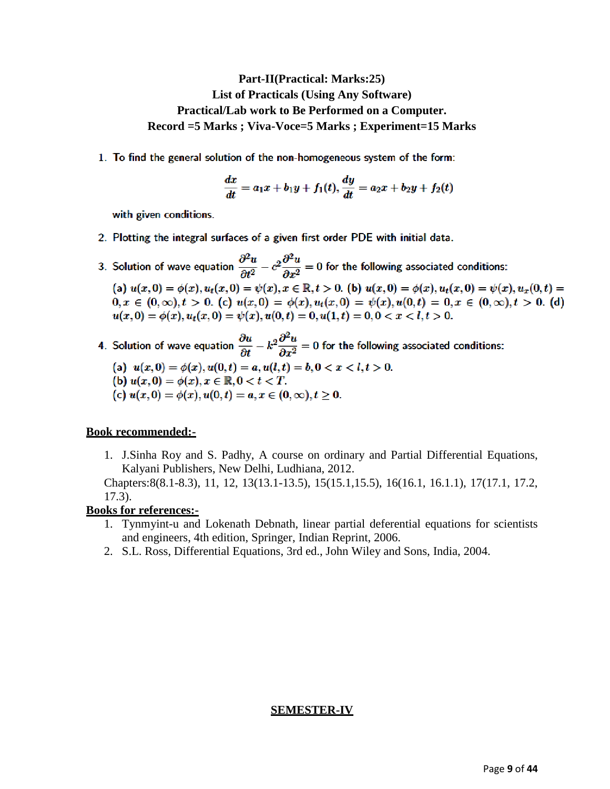## **Part-II(Practical: Marks:25) List of Practicals (Using Any Software) Practical/Lab work to Be Performed on a Computer. Record =5 Marks ; Viva-Voce=5 Marks ; Experiment=15 Marks**

1. To find the general solution of the non-homogeneous system of the form:

$$
\frac{dx}{dt} = a_1x + b_1y + f_1(t), \frac{dy}{dt} = a_2x + b_2y + f_2(t)
$$

with given conditions.

- 2. Plotting the integral surfaces of a given first order PDE with initial data.
- 3. Solution of wave equation  $\frac{\partial^2 u}{\partial t^2} c^2 \frac{\partial^2 u}{\partial x^2} = 0$  for the following associated conditions: (a)  $u(x, 0) = \phi(x), u_t(x, 0) = \psi(x), x \in \mathbb{R}, t > 0$ . (b)  $u(x, 0) = \phi(x), u_t(x, 0) = \psi(x), u_x(0, t) =$  $0, x \in (0, \infty), t > 0.$  (c)  $u(x, 0) = \phi(x), u_t(x, 0) = \psi(x), u(0, t) = 0, x \in (0, \infty), t > 0.$  (d)  $u(x, 0) = \phi(x), u_t(x, 0) = \psi(x), u(0, t) = 0, u(1, t) = 0, 0 < x < l, t > 0.$
- 4. Solution of wave equation  $\frac{\partial u}{\partial t} k^2 \frac{\partial^2 u}{\partial x^2} = 0$  for the following associated conditions: (a)  $u(x, 0) = \phi(x), u(0, t) = a, u(l, t) = b, 0 < x < l, t > 0.$ 
	- (b)  $u(x, 0) = \phi(x), x \in \mathbb{R}, 0 < t < T.$
	- (c)  $u(x, 0) = \phi(x), u(0, t) = a, x \in (0, \infty), t \ge 0.$

## **Book recommended:-**

1. J.Sinha Roy and S. Padhy, A course on ordinary and Partial Differential Equations, Kalyani Publishers, New Delhi, Ludhiana, 2012.

Chapters:8(8.1-8.3), 11, 12, 13(13.1-13.5), 15(15.1,15.5), 16(16.1, 16.1.1), 17(17.1, 17.2, 17.3).

## **Books for references:-**

- 1. Tynmyint-u and Lokenath Debnath, linear partial deferential equations for scientists and engineers, 4th edition, Springer, Indian Reprint, 2006.
- 2. S.L. Ross, Differential Equations, 3rd ed., John Wiley and Sons, India, 2004.

## **SEMESTER-IV**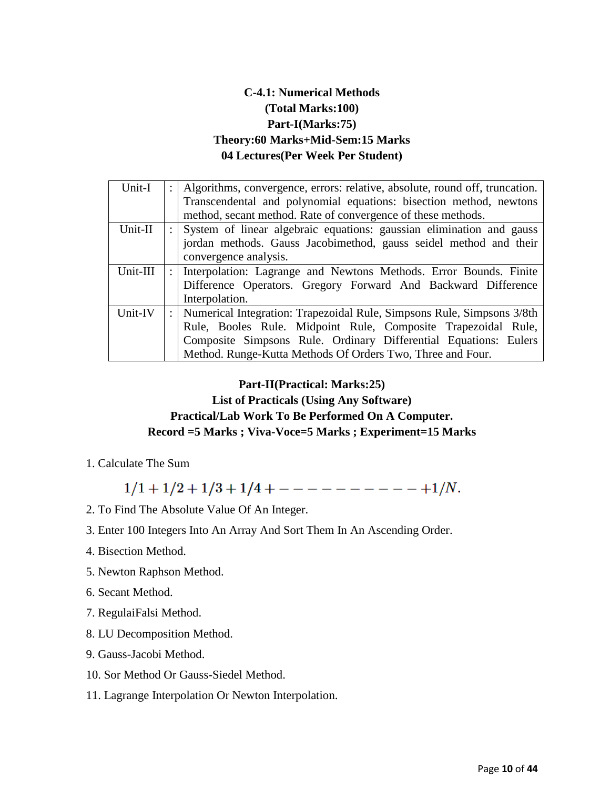## **C-4.1: Numerical Methods (Total Marks:100) Part-I(Marks:75) Theory:60 Marks+Mid-Sem:15 Marks 04 Lectures(Per Week Per Student)**

| Unit-I   | Algorithms, convergence, errors: relative, absolute, round off, truncation. |
|----------|-----------------------------------------------------------------------------|
|          | Transcendental and polynomial equations: bisection method, newtons          |
|          | method, secant method. Rate of convergence of these methods.                |
| Unit-II  | System of linear algebraic equations: gaussian elimination and gauss        |
|          | jordan methods. Gauss Jacobimethod, gauss seidel method and their           |
|          | convergence analysis.                                                       |
| Unit-III | Interpolation: Lagrange and Newtons Methods. Error Bounds. Finite           |
|          | Difference Operators. Gregory Forward And Backward Difference               |
|          | Interpolation.                                                              |
| Unit-IV  | Numerical Integration: Trapezoidal Rule, Simpsons Rule, Simpsons 3/8th      |
|          | Rule, Booles Rule. Midpoint Rule, Composite Trapezoidal Rule,               |
|          | Composite Simpsons Rule. Ordinary Differential Equations: Eulers            |
|          | Method. Runge-Kutta Methods Of Orders Two, Three and Four.                  |

## **Part-II(Practical: Marks:25)**

## **List of Practicals (Using Any Software) Practical/Lab Work To Be Performed On A Computer. Record =5 Marks ; Viva-Voce=5 Marks ; Experiment=15 Marks**

1. Calculate The Sum

 $1/1 + 1/2 + 1/3 + 1/4 + - - - - - - - - - + 1/N$ .

- 2. To Find The Absolute Value Of An Integer.
- 3. Enter 100 Integers Into An Array And Sort Them In An Ascending Order.
- 4. Bisection Method.
- 5. Newton Raphson Method.
- 6. Secant Method.
- 7. RegulaiFalsi Method.
- 8. LU Decomposition Method.
- 9. Gauss-Jacobi Method.
- 10. Sor Method Or Gauss-Siedel Method.

## 11. Lagrange Interpolation Or Newton Interpolation.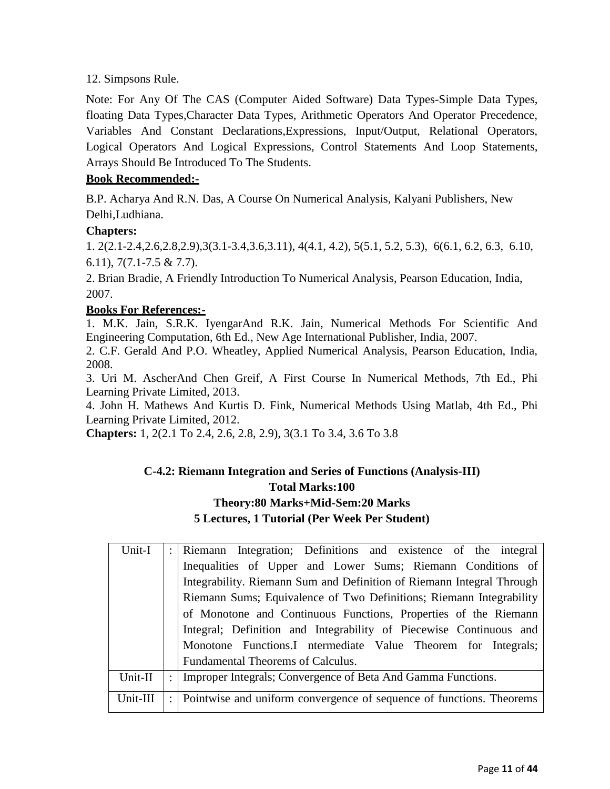## 12. Simpsons Rule.

Note: For Any Of The CAS (Computer Aided Software) Data Types-Simple Data Types, floating Data Types,Character Data Types, Arithmetic Operators And Operator Precedence, Variables And Constant Declarations,Expressions, Input/Output, Relational Operators, Logical Operators And Logical Expressions, Control Statements And Loop Statements, Arrays Should Be Introduced To The Students.

## **Book Recommended:-**

B.P. Acharya And R.N. Das, A Course On Numerical Analysis, Kalyani Publishers, New Delhi,Ludhiana.

## **Chapters:**

1. 2(2.1-2.4,2.6,2.8,2.9),3(3.1-3.4,3.6,3.11), 4(4.1, 4.2), 5(5.1, 5.2, 5.3), 6(6.1, 6.2, 6.3, 6.10, 6.11), 7(7.1-7.5 & 7.7).

2. Brian Bradie, A Friendly Introduction To Numerical Analysis, Pearson Education, India, 2007.

## **Books For References:-**

1. M.K. Jain, S.R.K. IyengarAnd R.K. Jain, Numerical Methods For Scientific And Engineering Computation, 6th Ed., New Age International Publisher, India, 2007.

2. C.F. Gerald And P.O. Wheatley, Applied Numerical Analysis, Pearson Education, India, 2008.

3. Uri M. AscherAnd Chen Greif, A First Course In Numerical Methods, 7th Ed., Phi Learning Private Limited, 2013.

4. John H. Mathews And Kurtis D. Fink, Numerical Methods Using Matlab, 4th Ed., Phi Learning Private Limited, 2012.

**Chapters:** 1, 2(2.1 To 2.4, 2.6, 2.8, 2.9), 3(3.1 To 3.4, 3.6 To 3.8

## **C-4.2: Riemann Integration and Series of Functions (Analysis-III) Total Marks:100 Theory:80 Marks+Mid-Sem:20 Marks 5 Lectures, 1 Tutorial (Per Week Per Student)**

| Unit-I   | : Riemann Integration; Definitions and existence of the integral       |
|----------|------------------------------------------------------------------------|
|          | Inequalities of Upper and Lower Sums; Riemann Conditions of            |
|          | Integrability. Riemann Sum and Definition of Riemann Integral Through  |
|          | Riemann Sums; Equivalence of Two Definitions; Riemann Integrability    |
|          | of Monotone and Continuous Functions, Properties of the Riemann        |
|          | Integral; Definition and Integrability of Piecewise Continuous and     |
|          | Monotone Functions.I ntermediate Value Theorem for Integrals;          |
|          | Fundamental Theorems of Calculus.                                      |
| Unit-II  | : Improper Integrals; Convergence of Beta And Gamma Functions.         |
| Unit-III | : Pointwise and uniform convergence of sequence of functions. Theorems |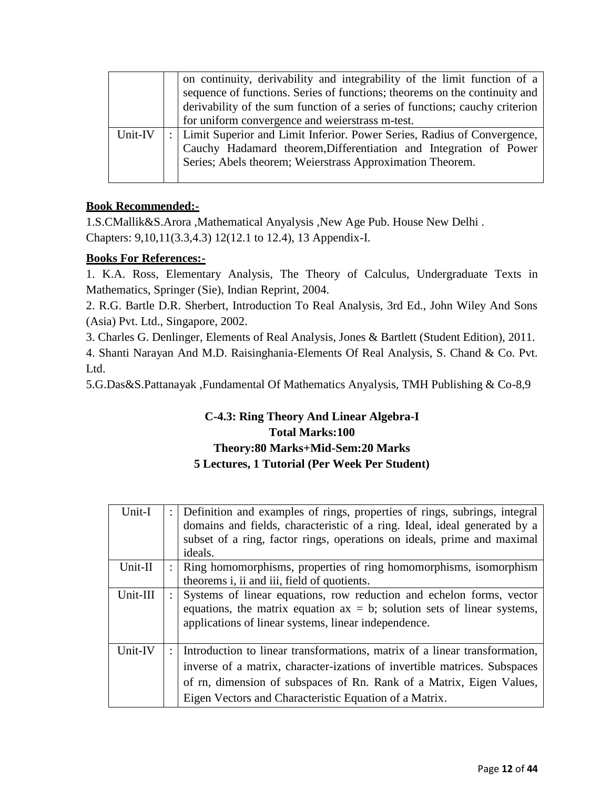|         | on continuity, derivability and integrability of the limit function of a<br>sequence of functions. Series of functions; theorems on the continuity and<br>derivability of the sum function of a series of functions; cauchy criterion<br>for uniform convergence and weierstrass m-test. |
|---------|------------------------------------------------------------------------------------------------------------------------------------------------------------------------------------------------------------------------------------------------------------------------------------------|
| Unit-IV | Limit Superior and Limit Inferior. Power Series, Radius of Convergence,<br>Cauchy Hadamard theorem, Differentiation and Integration of Power<br>Series; Abels theorem; Weierstrass Approximation Theorem.                                                                                |

1.S.CMallik&S.Arora ,Mathematical Anyalysis ,New Age Pub. House New Delhi . Chapters: 9,10,11(3.3,4.3) 12(12.1 to 12.4), 13 Appendix-I.

## **Books For References:-**

1. K.A. Ross, Elementary Analysis, The Theory of Calculus, Undergraduate Texts in Mathematics, Springer (Sie), Indian Reprint, 2004.

2. R.G. Bartle D.R. Sherbert, Introduction To Real Analysis, 3rd Ed., John Wiley And Sons (Asia) Pvt. Ltd., Singapore, 2002.

3. Charles G. Denlinger, Elements of Real Analysis, Jones & Bartlett (Student Edition), 2011.

4. Shanti Narayan And M.D. Raisinghania-Elements Of Real Analysis, S. Chand & Co. Pvt. Ltd.

5.G.Das&S.Pattanayak ,Fundamental Of Mathematics Anyalysis, TMH Publishing & Co-8,9

## **C-4.3: Ring Theory And Linear Algebra-I Total Marks:100 Theory:80 Marks+Mid-Sem:20 Marks 5 Lectures, 1 Tutorial (Per Week Per Student)**

| Unit-I   | : Definition and examples of rings, properties of rings, subrings, integral<br>domains and fields, characteristic of a ring. Ideal, ideal generated by a<br>subset of a ring, factor rings, operations on ideals, prime and maximal<br>ideals. |
|----------|------------------------------------------------------------------------------------------------------------------------------------------------------------------------------------------------------------------------------------------------|
| Unit-II  | Ring homomorphisms, properties of ring homomorphisms, isomorphism<br>theorems i, ii and iii, field of quotients.                                                                                                                               |
| Unit-III | Systems of linear equations, row reduction and echelon forms, vector<br>equations, the matrix equation $ax = b$ ; solution sets of linear systems,<br>applications of linear systems, linear independence.                                     |
| Unit-IV  | Introduction to linear transformations, matrix of a linear transformation,<br>inverse of a matrix, character-izations of invertible matrices. Subspaces<br>of rn, dimension of subspaces of Rn. Rank of a Matrix, Eigen Values,                |
|          | Eigen Vectors and Characteristic Equation of a Matrix.                                                                                                                                                                                         |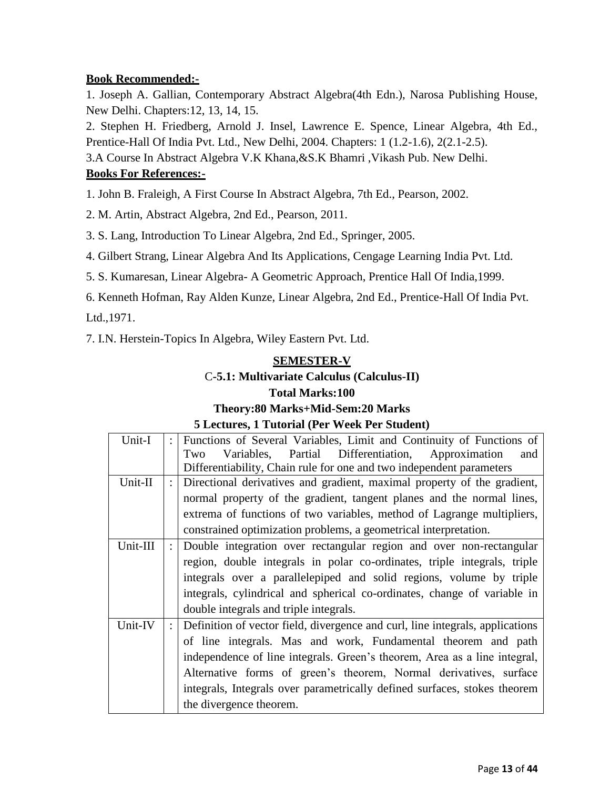1. Joseph A. Gallian, Contemporary Abstract Algebra(4th Edn.), Narosa Publishing House, New Delhi. Chapters:12, 13, 14, 15.

2. Stephen H. Friedberg, Arnold J. Insel, Lawrence E. Spence, Linear Algebra, 4th Ed., Prentice-Hall Of India Pvt. Ltd., New Delhi, 2004. Chapters: 1 (1.2-1.6), 2(2.1-2.5).

3.A Course In Abstract Algebra V.K Khana,&S.K Bhamri ,Vikash Pub. New Delhi.

## **Books For References:-**

1. John B. Fraleigh, A First Course In Abstract Algebra, 7th Ed., Pearson, 2002.

2. M. Artin, Abstract Algebra, 2nd Ed., Pearson, 2011.

3. S. Lang, Introduction To Linear Algebra, 2nd Ed., Springer, 2005.

4. Gilbert Strang, Linear Algebra And Its Applications, Cengage Learning India Pvt. Ltd.

5. S. Kumaresan, Linear Algebra- A Geometric Approach, Prentice Hall Of India,1999.

6. Kenneth Hofman, Ray Alden Kunze, Linear Algebra, 2nd Ed., Prentice-Hall Of India Pvt.

Ltd.,1971.

7. I.N. Herstein-Topics In Algebra, Wiley Eastern Pvt. Ltd.

## **SEMESTER-V** C**-5.1: Multivariate Calculus (Calculus-II) Total Marks:100**

## **Theory:80 Marks+Mid-Sem:20 Marks 5 Lectures, 1 Tutorial (Per Week Per Student)**

| Unit-I   | $\ddot{\cdot}$       | Functions of Several Variables, Limit and Continuity of Functions of          |
|----------|----------------------|-------------------------------------------------------------------------------|
|          |                      | Variables, Partial Differentiation, Approximation<br>and<br>Two               |
|          |                      | Differentiability, Chain rule for one and two independent parameters          |
| Unit-II  | $\ddot{\phantom{0}}$ | Directional derivatives and gradient, maximal property of the gradient,       |
|          |                      | normal property of the gradient, tangent planes and the normal lines,         |
|          |                      | extrema of functions of two variables, method of Lagrange multipliers,        |
|          |                      | constrained optimization problems, a geometrical interpretation.              |
| Unit-III |                      | Double integration over rectangular region and over non-rectangular           |
|          |                      | region, double integrals in polar co-ordinates, triple integrals, triple      |
|          |                      | integrals over a parallelepiped and solid regions, volume by triple           |
|          |                      | integrals, cylindrical and spherical co-ordinates, change of variable in      |
|          |                      | double integrals and triple integrals.                                        |
| Unit-IV  | $\ddot{\cdot}$       | Definition of vector field, divergence and curl, line integrals, applications |
|          |                      | of line integrals. Mas and work, Fundamental theorem and path                 |
|          |                      | independence of line integrals. Green's theorem, Area as a line integral,     |
|          |                      | Alternative forms of green's theorem, Normal derivatives, surface             |
|          |                      | integrals, Integrals over parametrically defined surfaces, stokes theorem     |
|          |                      | the divergence theorem.                                                       |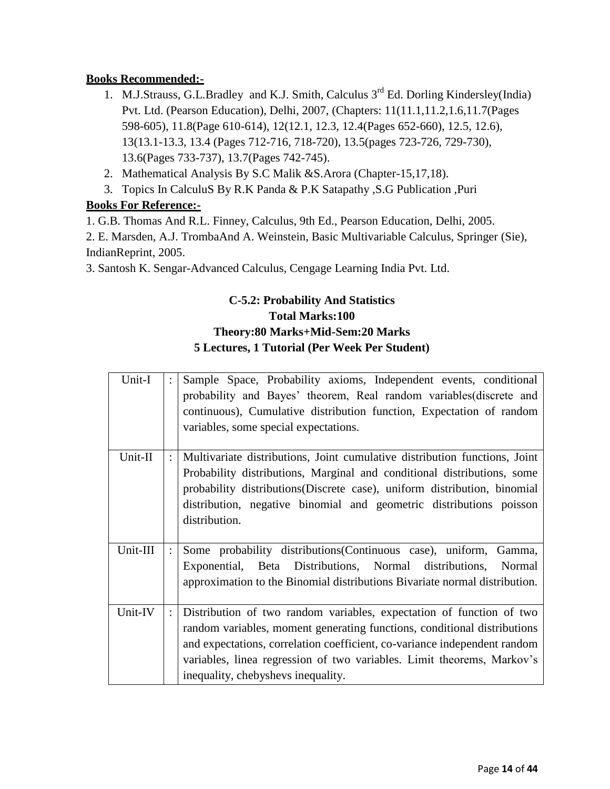- 1. M.J.Strauss, G.L.Bradley and K.J. Smith, Calculus  $3<sup>rd</sup>$  Ed. Dorling Kindersley(India) Pvt. Ltd. (Pearson Education), Delhi, 2007, (Chapters: 11(11.1,11.2,1.6,11.7(Pages 598-605), 11.8(Page 610-614), 12(12.1, 12.3, 12.4(Pages 652-660), 12.5, 12.6), 13(13.1-13.3, 13.4 (Pages 712-716, 718-720), 13.5(pages 723-726, 729-730), 13.6(Pages 733-737), 13.7(Pages 742-745).
- 2. Mathematical Analysis By S.C Malik &S.Arora (Chapter-15,17,18).
- 3. Topics In CalculuS By R.K Panda & P.K Satapathy ,S.G Publication ,Puri

## **Books For Reference:-**

1. G.B. Thomas And R.L. Finney, Calculus, 9th Ed., Pearson Education, Delhi, 2005.

2. E. Marsden, A.J. TrombaAnd A. Weinstein, Basic Multivariable Calculus, Springer (Sie), IndianReprint, 2005.

3. Santosh K. Sengar-Advanced Calculus, Cengage Learning India Pvt. Ltd.

## **C-5.2: Probability And Statistics Total Marks:100 Theory:80 Marks+Mid-Sem:20 Marks 5 Lectures, 1 Tutorial (Per Week Per Student)**

| Unit-I   |                | Sample Space, Probability axioms, Independent events, conditional<br>probability and Bayes' theorem, Real random variables(discrete and<br>continuous), Cumulative distribution function, Expectation of random<br>variables, some special expectations.                                                                                      |
|----------|----------------|-----------------------------------------------------------------------------------------------------------------------------------------------------------------------------------------------------------------------------------------------------------------------------------------------------------------------------------------------|
| Unit-II  |                | Multivariate distributions, Joint cumulative distribution functions, Joint<br>Probability distributions, Marginal and conditional distributions, some<br>probability distributions (Discrete case), uniform distribution, binomial<br>distribution, negative binomial and geometric distributions poisson<br>distribution.                    |
| Unit-III | $\ddot{\cdot}$ | Some probability distributions (Continuous case), uniform, Gamma,<br>Exponential, Beta Distributions, Normal distributions, Normal<br>approximation to the Binomial distributions Bivariate normal distribution.                                                                                                                              |
| Unit-IV  |                | Distribution of two random variables, expectation of function of two<br>random variables, moment generating functions, conditional distributions<br>and expectations, correlation coefficient, co-variance independent random<br>variables, linea regression of two variables. Limit theorems, Markov's<br>inequality, chebyshevs inequality. |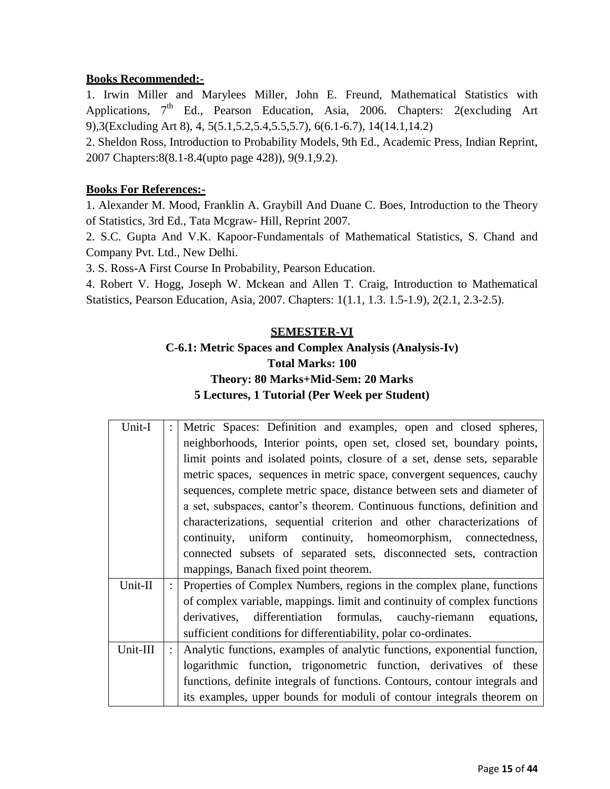1. Irwin Miller and Marylees Miller, John E. Freund, Mathematical Statistics with Applications, 7<sup>th</sup> Ed., Pearson Education, Asia, 2006. Chapters: 2(excluding Art 9),3(Excluding Art 8), 4, 5(5.1,5.2,5.4,5.5,5.7), 6(6.1-6.7), 14(14.1,14.2)

2. Sheldon Ross, Introduction to Probability Models, 9th Ed., Academic Press, Indian Reprint, 2007 Chapters:8(8.1-8.4(upto page 428)), 9(9.1,9.2).

## **Books For References:-**

1. Alexander M. Mood, Franklin A. Graybill And Duane C. Boes, Introduction to the Theory of Statistics, 3rd Ed., Tata Mcgraw- Hill, Reprint 2007.

2. S.C. Gupta And V.K. Kapoor-Fundamentals of Mathematical Statistics, S. Chand and Company Pvt. Ltd., New Delhi.

3. S. Ross-A First Course In Probability, Pearson Education.

4. Robert V. Hogg, Joseph W. Mckean and Allen T. Craig, Introduction to Mathematical Statistics, Pearson Education, Asia, 2007. Chapters: 1(1.1, 1.3. 1.5-1.9), 2(2.1, 2.3-2.5).

## **SEMESTER-VI**

## **C-6.1: Metric Spaces and Complex Analysis (Analysis-Iv) Total Marks: 100 Theory: 80 Marks+Mid-Sem: 20 Marks 5 Lectures, 1 Tutorial (Per Week per Student)**

| Unit-I   |                | Metric Spaces: Definition and examples, open and closed spheres,            |
|----------|----------------|-----------------------------------------------------------------------------|
|          |                | neighborhoods, Interior points, open set, closed set, boundary points,      |
|          |                | limit points and isolated points, closure of a set, dense sets, separable   |
|          |                | metric spaces, sequences in metric space, convergent sequences, cauchy      |
|          |                | sequences, complete metric space, distance between sets and diameter of     |
|          |                | a set, subspaces, cantor's theorem. Continuous functions, definition and    |
|          |                | characterizations, sequential criterion and other characterizations of      |
|          |                | continuity, uniform continuity, homeomorphism, connectedness,               |
|          |                | connected subsets of separated sets, disconnected sets, contraction         |
|          |                | mappings, Banach fixed point theorem.                                       |
| Unit-II  | $\ddot{\cdot}$ | Properties of Complex Numbers, regions in the complex plane, functions      |
|          |                | of complex variable, mappings. limit and continuity of complex functions    |
|          |                | derivatives, differentiation formulas, cauchy-riemann equations,            |
|          |                | sufficient conditions for differentiability, polar co-ordinates.            |
| Unit-III |                | Analytic functions, examples of analytic functions, exponential function,   |
|          |                | logarithmic function, trigonometric function, derivatives of these          |
|          |                | functions, definite integrals of functions. Contours, contour integrals and |
|          |                | its examples, upper bounds for moduli of contour integrals theorem on       |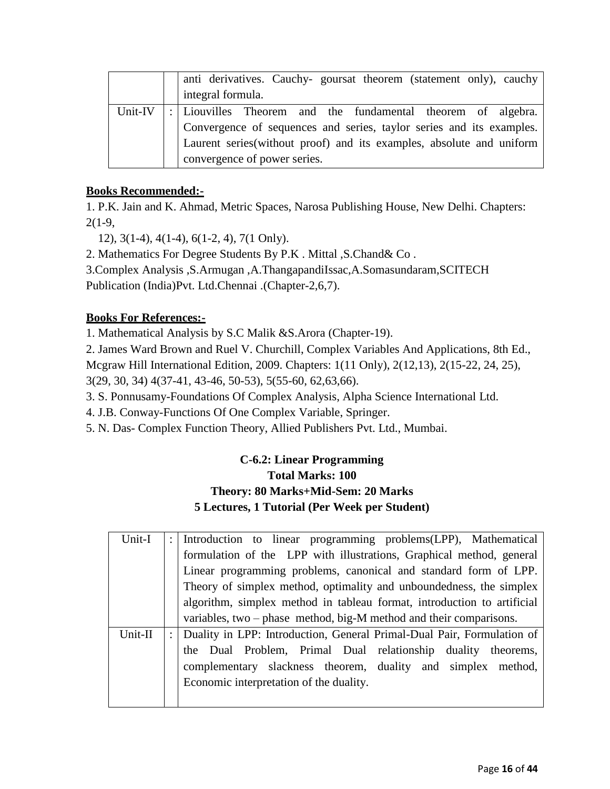|         | anti derivatives. Cauchy-goursat theorem (statement only), cauchy    |
|---------|----------------------------------------------------------------------|
|         | integral formula.                                                    |
| Unit-IV | :   Liouvilles Theorem and the fundamental theorem of algebra.       |
|         | Convergence of sequences and series, taylor series and its examples. |
|         | Laurent series(without proof) and its examples, absolute and uniform |
|         | convergence of power series.                                         |

1. P.K. Jain and K. Ahmad, Metric Spaces, Narosa Publishing House, New Delhi. Chapters:  $2(1-9,$ 

12), 3(1-4), 4(1-4), 6(1-2, 4), 7(1 Only).

2. Mathematics For Degree Students By P.K . Mittal ,S.Chand& Co .

3.Complex Analysis ,S.Armugan ,A.ThangapandiIssac,A.Somasundaram,SCITECH

Publication (India)Pvt. Ltd.Chennai .(Chapter-2,6,7).

## **Books For References:-**

1. Mathematical Analysis by S.C Malik &S.Arora (Chapter-19).

2. James Ward Brown and Ruel V. Churchill, Complex Variables And Applications, 8th Ed.,

Mcgraw Hill International Edition, 2009. Chapters: 1(11 Only), 2(12,13), 2(15-22, 24, 25),

3(29, 30, 34) 4(37-41, 43-46, 50-53), 5(55-60, 62,63,66).

3. S. Ponnusamy-Foundations Of Complex Analysis, Alpha Science International Ltd.

4. J.B. Conway-Functions Of One Complex Variable, Springer.

5. N. Das- Complex Function Theory, Allied Publishers Pvt. Ltd., Mumbai.

## **C-6.2: Linear Programming Total Marks: 100 Theory: 80 Marks+Mid-Sem: 20 Marks 5 Lectures, 1 Tutorial (Per Week per Student)**

| Unit-I  | Introduction to linear programming problems (LPP), Mathematical         |
|---------|-------------------------------------------------------------------------|
|         | formulation of the LPP with illustrations, Graphical method, general    |
|         | Linear programming problems, canonical and standard form of LPP.        |
|         | Theory of simplex method, optimality and unboundedness, the simplex     |
|         | algorithm, simplex method in tableau format, introduction to artificial |
|         | variables, two – phase method, big-M method and their comparisons.      |
| Unit-II | Duality in LPP: Introduction, General Primal-Dual Pair, Formulation of  |
|         | the Dual Problem, Primal Dual relationship duality theorems,            |
|         | complementary slackness theorem, duality and simplex method,            |
|         | Economic interpretation of the duality.                                 |
|         |                                                                         |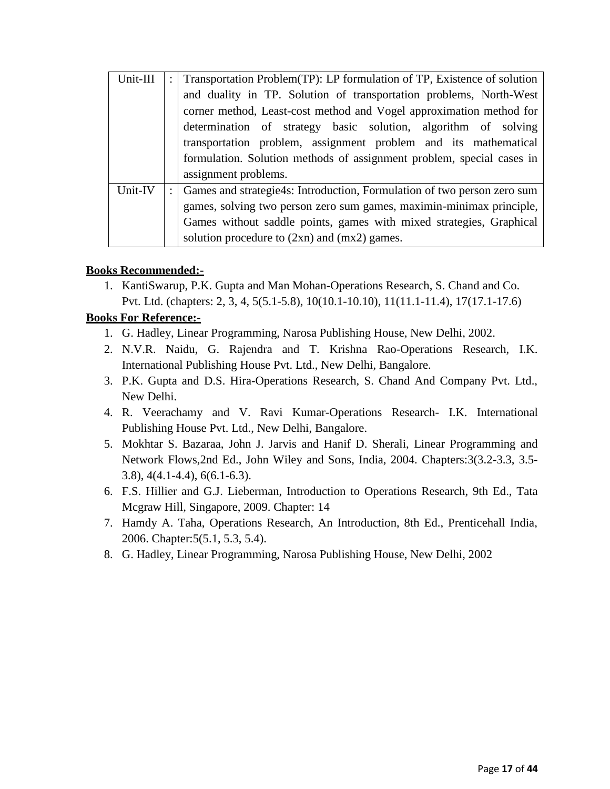| Unit-III | $\ddot{\cdot}$ | Transportation Problem (TP): LP formulation of TP, Existence of solution |
|----------|----------------|--------------------------------------------------------------------------|
|          |                | and duality in TP. Solution of transportation problems, North-West       |
|          |                | corner method, Least-cost method and Vogel approximation method for      |
|          |                | determination of strategy basic solution, algorithm of solving           |
|          |                | transportation problem, assignment problem and its mathematical          |
|          |                | formulation. Solution methods of assignment problem, special cases in    |
|          |                | assignment problems.                                                     |
| Unit-IV  |                | Games and strategie4s: Introduction, Formulation of two person zero sum  |
|          |                | games, solving two person zero sum games, maximin-minimax principle,     |
|          |                | Games without saddle points, games with mixed strategies, Graphical      |
|          |                | solution procedure to (2xn) and (mx2) games.                             |

1. KantiSwarup, P.K. Gupta and Man Mohan-Operations Research, S. Chand and Co. Pvt. Ltd. (chapters: 2, 3, 4, 5(5.1-5.8), 10(10.1-10.10), 11(11.1-11.4), 17(17.1-17.6)

## **Books For Reference:-**

- 1. G. Hadley, Linear Programming, Narosa Publishing House, New Delhi, 2002.
- 2. N.V.R. Naidu, G. Rajendra and T. Krishna Rao-Operations Research, I.K. International Publishing House Pvt. Ltd., New Delhi, Bangalore.
- 3. P.K. Gupta and D.S. Hira-Operations Research, S. Chand And Company Pvt. Ltd., New Delhi.
- 4. R. Veerachamy and V. Ravi Kumar-Operations Research- I.K. International Publishing House Pvt. Ltd., New Delhi, Bangalore.
- 5. Mokhtar S. Bazaraa, John J. Jarvis and Hanif D. Sherali, Linear Programming and Network Flows,2nd Ed., John Wiley and Sons, India, 2004. Chapters:3(3.2-3.3, 3.5- 3.8), 4(4.1-4.4), 6(6.1-6.3).
- 6. F.S. Hillier and G.J. Lieberman, Introduction to Operations Research, 9th Ed., Tata Mcgraw Hill, Singapore, 2009. Chapter: 14
- 7. Hamdy A. Taha, Operations Research, An Introduction, 8th Ed., Prenticehall India, 2006. Chapter:5(5.1, 5.3, 5.4).
- 8. G. Hadley, Linear Programming, Narosa Publishing House, New Delhi, 2002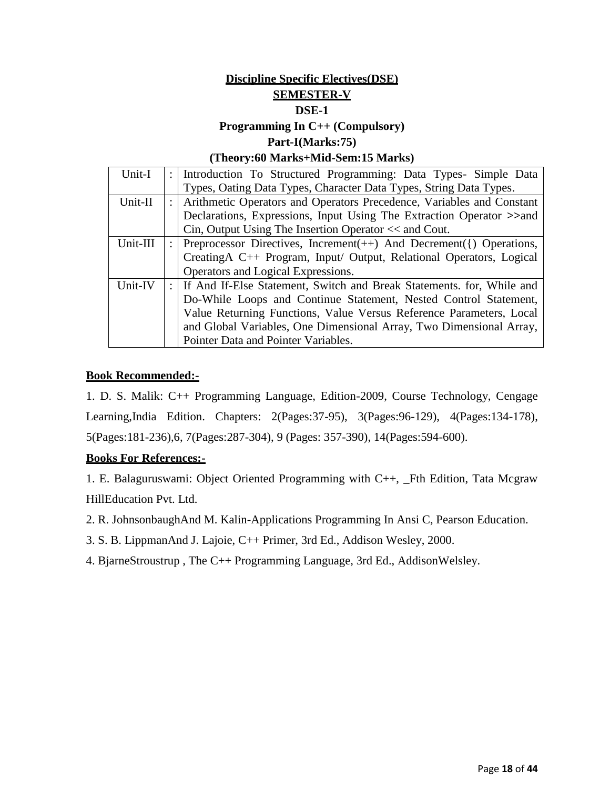## **Discipline Specific Electives(DSE) SEMESTER-V DSE-1**

## **Programming In C++ (Compulsory)**

**Part-I(Marks:75)**

#### **(Theory:60 Marks+Mid-Sem:15 Marks)**

| Unit-I   | Introduction To Structured Programming: Data Types- Simple Data           |
|----------|---------------------------------------------------------------------------|
|          | Types, Oating Data Types, Character Data Types, String Data Types.        |
| Unit-II  | Arithmetic Operators and Operators Precedence, Variables and Constant     |
|          | Declarations, Expressions, Input Using The Extraction Operator >>and      |
|          | Cin, Output Using The Insertion Operator $<<$ and Cout.                   |
| Unit-III | Preprocessor Directives, Increment $(++)$ And Decrement $(%)$ Operations, |
|          | CreatingA C++ Program, Input/ Output, Relational Operators, Logical       |
|          | Operators and Logical Expressions.                                        |
| Unit-IV  | : If And If-Else Statement, Switch and Break Statements. for, While and   |
|          | Do-While Loops and Continue Statement, Nested Control Statement,          |
|          | Value Returning Functions, Value Versus Reference Parameters, Local       |
|          | and Global Variables, One Dimensional Array, Two Dimensional Array,       |
|          | Pointer Data and Pointer Variables.                                       |

## **Book Recommended:-**

1. D. S. Malik: C++ Programming Language, Edition-2009, Course Technology, Cengage Learning,India Edition. Chapters: 2(Pages:37-95), 3(Pages:96-129), 4(Pages:134-178), 5(Pages:181-236),6, 7(Pages:287-304), 9 (Pages: 357-390), 14(Pages:594-600).

## **Books For References:-**

1. E. Balaguruswami: Object Oriented Programming with C++, \_Fth Edition, Tata Mcgraw HillEducation Pvt. Ltd.

- 2. R. JohnsonbaughAnd M. Kalin-Applications Programming In Ansi C, Pearson Education.
- 3. S. B. LippmanAnd J. Lajoie, C++ Primer, 3rd Ed., Addison Wesley, 2000.
- 4. BjarneStroustrup , The C++ Programming Language, 3rd Ed., AddisonWelsley.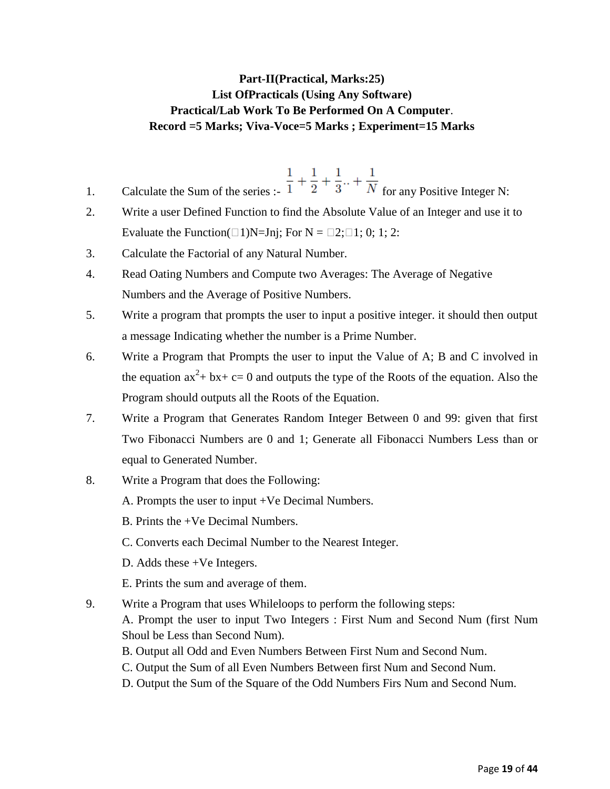## **Part-II(Practical, Marks:25) List OfPracticals (Using Any Software) Practical/Lab Work To Be Performed On A Computer**. **Record =5 Marks; Viva-Voce=5 Marks ; Experiment=15 Marks**

- 1. Calculate the Sum of the series :-  $\frac{1}{1} + \frac{1}{2} + \frac{1}{3} + \frac{1}{N}$  for any Positive Integer N:
- 2. Write a user Defined Function to find the Absolute Value of an Integer and use it to Evaluate the Function( $\Box$ 1)N=Jnj; For N =  $\Box$ 2; $\Box$ 1; 0; 1; 2:
- 3. Calculate the Factorial of any Natural Number.
- 4. Read Oating Numbers and Compute two Averages: The Average of Negative Numbers and the Average of Positive Numbers.
- 5. Write a program that prompts the user to input a positive integer. it should then output a message Indicating whether the number is a Prime Number.
- 6. Write a Program that Prompts the user to input the Value of A; B and C involved in the equation  $ax^2 + bx + c = 0$  and outputs the type of the Roots of the equation. Also the Program should outputs all the Roots of the Equation.
- 7. Write a Program that Generates Random Integer Between 0 and 99: given that first Two Fibonacci Numbers are 0 and 1; Generate all Fibonacci Numbers Less than or equal to Generated Number.
- 8. Write a Program that does the Following:
	- A. Prompts the user to input +Ve Decimal Numbers.
	- B. Prints the +Ve Decimal Numbers.
	- C. Converts each Decimal Number to the Nearest Integer.
	- D. Adds these +Ve Integers.
	- E. Prints the sum and average of them.
- 9. Write a Program that uses Whileloops to perform the following steps:

A. Prompt the user to input Two Integers : First Num and Second Num (first Num Shoul be Less than Second Num).

- B. Output all Odd and Even Numbers Between First Num and Second Num.
- C. Output the Sum of all Even Numbers Between first Num and Second Num.
- D. Output the Sum of the Square of the Odd Numbers Firs Num and Second Num.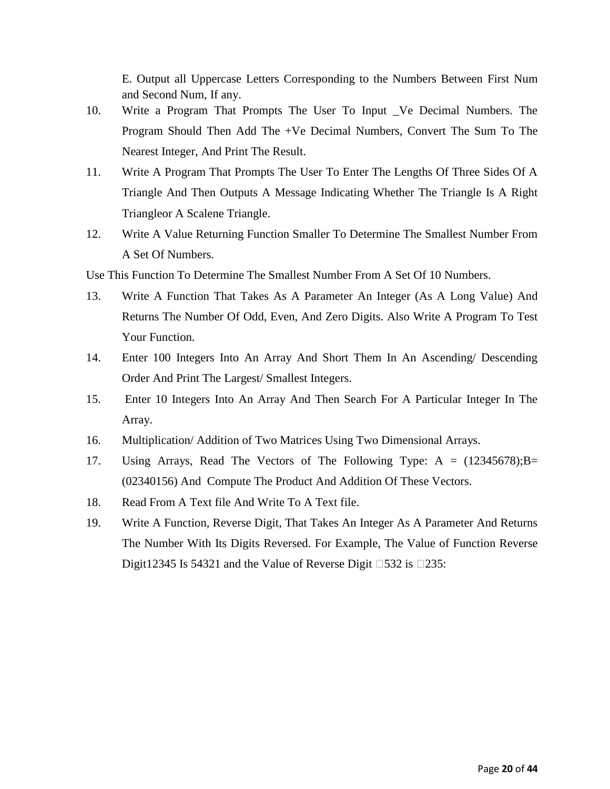E. Output all Uppercase Letters Corresponding to the Numbers Between First Num and Second Num, If any.

- 10. Write a Program That Prompts The User To Input \_Ve Decimal Numbers. The Program Should Then Add The +Ve Decimal Numbers, Convert The Sum To The Nearest Integer, And Print The Result.
- 11. Write A Program That Prompts The User To Enter The Lengths Of Three Sides Of A Triangle And Then Outputs A Message Indicating Whether The Triangle Is A Right Triangleor A Scalene Triangle.
- 12. Write A Value Returning Function Smaller To Determine The Smallest Number From A Set Of Numbers.

Use This Function To Determine The Smallest Number From A Set Of 10 Numbers.

- 13. Write A Function That Takes As A Parameter An Integer (As A Long Value) And Returns The Number Of Odd, Even, And Zero Digits. Also Write A Program To Test Your Function.
- 14. Enter 100 Integers Into An Array And Short Them In An Ascending/ Descending Order And Print The Largest/ Smallest Integers.
- 15. Enter 10 Integers Into An Array And Then Search For A Particular Integer In The Array.
- 16. Multiplication/ Addition of Two Matrices Using Two Dimensional Arrays.
- 17. Using Arrays, Read The Vectors of The Following Type: A = (12345678);B= (02340156) And Compute The Product And Addition Of These Vectors.
- 18. Read From A Text file And Write To A Text file.
- 19. Write A Function, Reverse Digit, That Takes An Integer As A Parameter And Returns The Number With Its Digits Reversed. For Example, The Value of Function Reverse Digit12345 Is 54321 and the Value of Reverse Digit  $\Box$ 532 is  $\Box$ 235: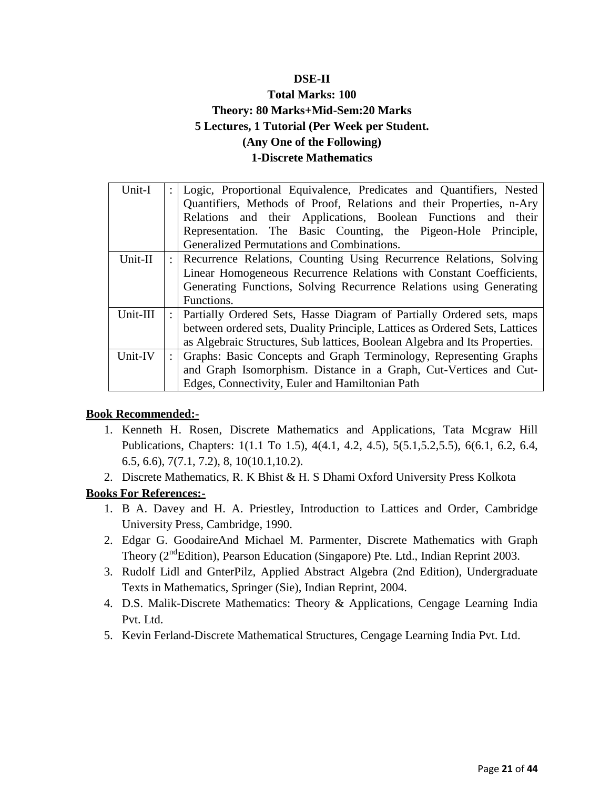## **DSE-II**

## **Total Marks: 100 Theory: 80 Marks+Mid-Sem:20 Marks 5 Lectures, 1 Tutorial (Per Week per Student. (Any One of the Following) 1-Discrete Mathematics**

| Unit-I   | Logic, Proportional Equivalence, Predicates and Quantifiers, Nested<br>Quantifiers, Methods of Proof, Relations and their Properties, n-Ary<br>Relations and their Applications, Boolean Functions and their<br>Representation. The Basic Counting, the Pigeon-Hole Principle,<br>Generalized Permutations and Combinations. |
|----------|------------------------------------------------------------------------------------------------------------------------------------------------------------------------------------------------------------------------------------------------------------------------------------------------------------------------------|
| Unit-II  | Recurrence Relations, Counting Using Recurrence Relations, Solving<br>Linear Homogeneous Recurrence Relations with Constant Coefficients,<br>Generating Functions, Solving Recurrence Relations using Generating<br>Functions.                                                                                               |
| Unit-III | Partially Ordered Sets, Hasse Diagram of Partially Ordered sets, maps<br>between ordered sets, Duality Principle, Lattices as Ordered Sets, Lattices<br>as Algebraic Structures, Sub lattices, Boolean Algebra and Its Properties.                                                                                           |
| Unit-IV  | Graphs: Basic Concepts and Graph Terminology, Representing Graphs<br>and Graph Isomorphism. Distance in a Graph, Cut-Vertices and Cut-<br>Edges, Connectivity, Euler and Hamiltonian Path                                                                                                                                    |

## **Book Recommended:-**

- 1. Kenneth H. Rosen, Discrete Mathematics and Applications, Tata Mcgraw Hill Publications, Chapters: 1(1.1 To 1.5), 4(4.1, 4.2, 4.5), 5(5.1,5.2,5.5), 6(6.1, 6.2, 6.4, 6.5, 6.6), 7(7.1, 7.2), 8, 10(10.1,10.2).
- 2. Discrete Mathematics, R. K Bhist & H. S Dhami Oxford University Press Kolkota

## **Books For References:-**

- 1. B A. Davey and H. A. Priestley, Introduction to Lattices and Order, Cambridge University Press, Cambridge, 1990.
- 2. Edgar G. GoodaireAnd Michael M. Parmenter, Discrete Mathematics with Graph Theory (2<sup>nd</sup>Edition), Pearson Education (Singapore) Pte. Ltd., Indian Reprint 2003.
- 3. Rudolf Lidl and GnterPilz, Applied Abstract Algebra (2nd Edition), Undergraduate Texts in Mathematics, Springer (Sie), Indian Reprint, 2004.
- 4. D.S. Malik-Discrete Mathematics: Theory & Applications, Cengage Learning India Pvt. Ltd.
- 5. Kevin Ferland-Discrete Mathematical Structures, Cengage Learning India Pvt. Ltd.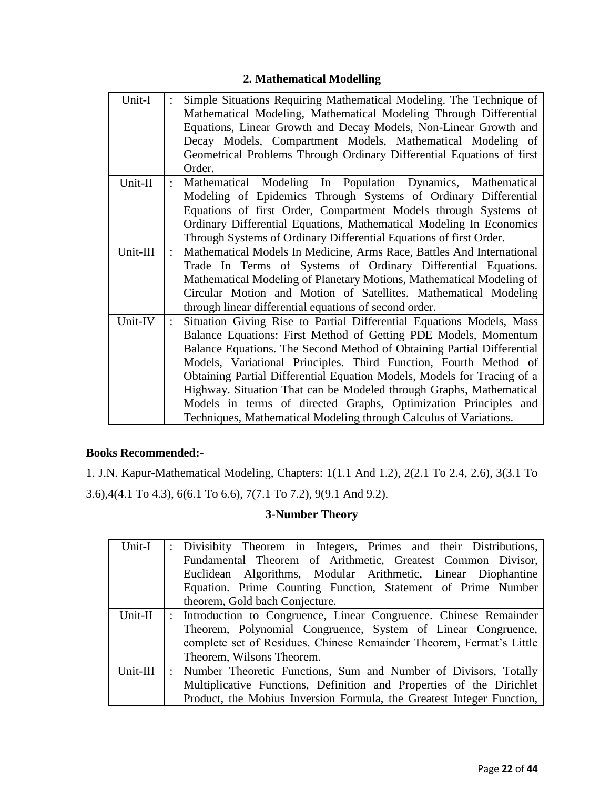## **2. Mathematical Modelling**

| Unit-I   |                | Simple Situations Requiring Mathematical Modeling. The Technique of     |
|----------|----------------|-------------------------------------------------------------------------|
|          |                | Mathematical Modeling, Mathematical Modeling Through Differential       |
|          |                | Equations, Linear Growth and Decay Models, Non-Linear Growth and        |
|          |                | Decay Models, Compartment Models, Mathematical Modeling of              |
|          |                | Geometrical Problems Through Ordinary Differential Equations of first   |
|          |                | Order.                                                                  |
| Unit-II  | $\ddot{\cdot}$ | Mathematical Modeling In Population Dynamics, Mathematical              |
|          |                | Modeling of Epidemics Through Systems of Ordinary Differential          |
|          |                | Equations of first Order, Compartment Models through Systems of         |
|          |                | Ordinary Differential Equations, Mathematical Modeling In Economics     |
|          |                | Through Systems of Ordinary Differential Equations of first Order.      |
| Unit-III |                | Mathematical Models In Medicine, Arms Race, Battles And International   |
|          |                | Trade In Terms of Systems of Ordinary Differential Equations.           |
|          |                | Mathematical Modeling of Planetary Motions, Mathematical Modeling of    |
|          |                | Circular Motion and Motion of Satellites. Mathematical Modeling         |
|          |                | through linear differential equations of second order.                  |
| Unit-IV  |                | Situation Giving Rise to Partial Differential Equations Models, Mass    |
|          |                | Balance Equations: First Method of Getting PDE Models, Momentum         |
|          |                | Balance Equations. The Second Method of Obtaining Partial Differential  |
|          |                | Models, Variational Principles. Third Function, Fourth Method of        |
|          |                | Obtaining Partial Differential Equation Models, Models for Tracing of a |
|          |                | Highway. Situation That can be Modeled through Graphs, Mathematical     |
|          |                | Models in terms of directed Graphs, Optimization Principles and         |
|          |                | Techniques, Mathematical Modeling through Calculus of Variations.       |

## **Books Recommended:-**

1. J.N. Kapur-Mathematical Modeling, Chapters: 1(1.1 And 1.2), 2(2.1 To 2.4, 2.6), 3(3.1 To 3.6),4(4.1 To 4.3), 6(6.1 To 6.6), 7(7.1 To 7.2), 9(9.1 And 9.2).

## **3-Number Theory**

| Unit-I   | : Divisibity Theorem in Integers, Primes and their Distributions,     |
|----------|-----------------------------------------------------------------------|
|          | Fundamental Theorem of Arithmetic, Greatest Common Divisor,           |
|          | Euclidean Algorithms, Modular Arithmetic, Linear Diophantine          |
|          | Equation. Prime Counting Function, Statement of Prime Number          |
|          | theorem, Gold bach Conjecture.                                        |
| Unit-II  | : Introduction to Congruence, Linear Congruence. Chinese Remainder    |
|          | Theorem, Polynomial Congruence, System of Linear Congruence,          |
|          | complete set of Residues, Chinese Remainder Theorem, Fermat's Little  |
|          | Theorem, Wilsons Theorem.                                             |
| Unit-III | : Number Theoretic Functions, Sum and Number of Divisors, Totally     |
|          | Multiplicative Functions, Definition and Properties of the Dirichlet  |
|          | Product, the Mobius Inversion Formula, the Greatest Integer Function, |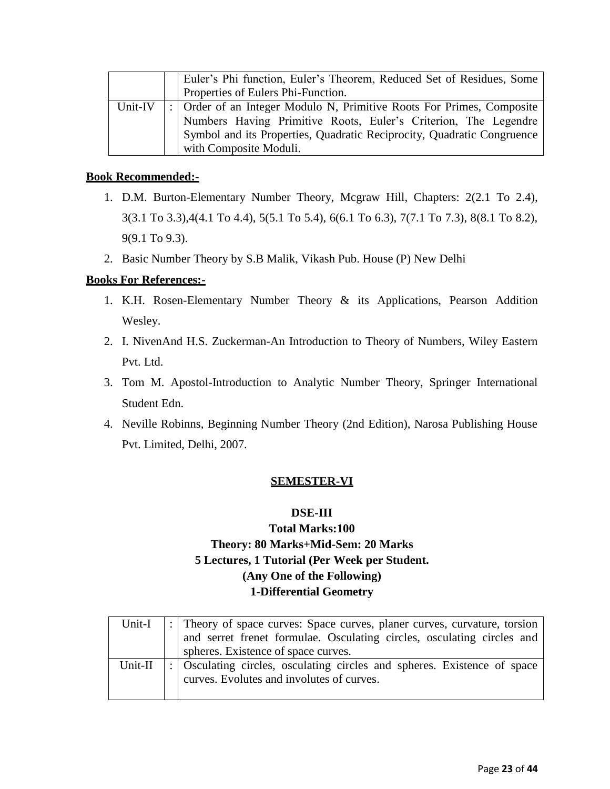|         | Euler's Phi function, Euler's Theorem, Reduced Set of Residues, Some    |
|---------|-------------------------------------------------------------------------|
|         | Properties of Eulers Phi-Function.                                      |
| Unit-IV | :   Order of an Integer Modulo N, Primitive Roots For Primes, Composite |
|         | Numbers Having Primitive Roots, Euler's Criterion, The Legendre         |
|         | Symbol and its Properties, Quadratic Reciprocity, Quadratic Congruence  |
|         | with Composite Moduli.                                                  |

- 1. D.M. Burton-Elementary Number Theory, Mcgraw Hill, Chapters: 2(2.1 To 2.4), 3(3.1 To 3.3),4(4.1 To 4.4), 5(5.1 To 5.4), 6(6.1 To 6.3), 7(7.1 To 7.3), 8(8.1 To 8.2), 9(9.1 To 9.3).
- 2. Basic Number Theory by S.B Malik, Vikash Pub. House (P) New Delhi

## **Books For References:-**

- 1. K.H. Rosen-Elementary Number Theory & its Applications, Pearson Addition Wesley.
- 2. I. NivenAnd H.S. Zuckerman-An Introduction to Theory of Numbers, Wiley Eastern Pvt. Ltd.
- 3. Tom M. Apostol-Introduction to Analytic Number Theory, Springer International Student Edn.
- 4. Neville Robinns, Beginning Number Theory (2nd Edition), Narosa Publishing House Pvt. Limited, Delhi, 2007.

## **SEMESTER-VI**

## **DSE-III**

## **Total Marks:100 Theory: 80 Marks+Mid-Sem: 20 Marks 5 Lectures, 1 Tutorial (Per Week per Student. (Any One of the Following) 1-Differential Geometry**

|         | Unit-I $\vert \cdot \vert$ Theory of space curves: Space curves, planer curves, curvature, torsion<br>and serret frenet formulae. Osculating circles, osculating circles and<br>spheres. Existence of space curves. |
|---------|---------------------------------------------------------------------------------------------------------------------------------------------------------------------------------------------------------------------|
| Unit-II | :   Osculating circles, osculating circles and spheres. Existence of space<br>curves. Evolutes and involutes of curves.                                                                                             |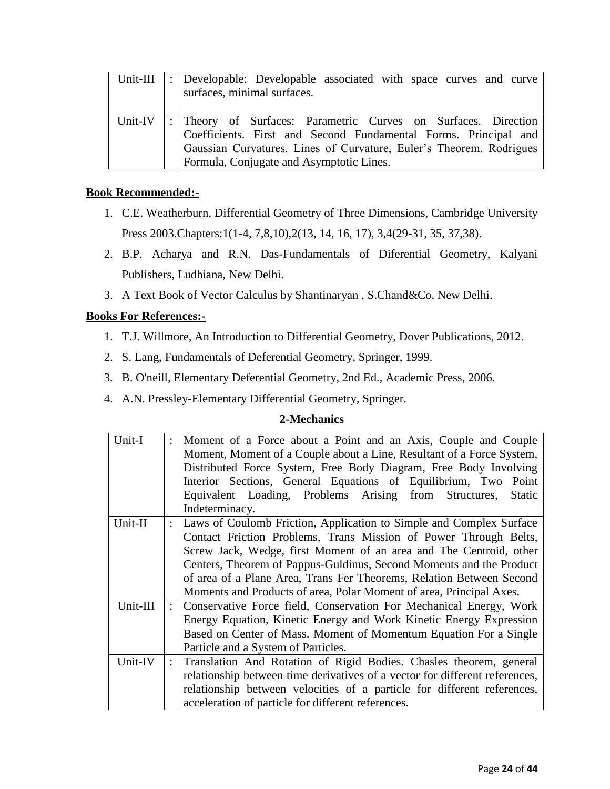| Unit-III | :   Developable: Developable associated with space curves and curve<br>surfaces, minimal surfaces.                                                                                                                                                       |
|----------|----------------------------------------------------------------------------------------------------------------------------------------------------------------------------------------------------------------------------------------------------------|
| Unit-IV  | : Theory of Surfaces: Parametric Curves on Surfaces. Direction<br>  Coefficients. First and Second Fundamental Forms. Principal and<br>  Gaussian Curvatures. Lines of Curvature, Euler's Theorem. Rodrigues<br>Formula, Conjugate and Asymptotic Lines. |

- 1. C.E. Weatherburn, Differential Geometry of Three Dimensions, Cambridge University Press 2003.Chapters:1(1-4, 7,8,10),2(13, 14, 16, 17), 3,4(29-31, 35, 37,38).
- 2. B.P. Acharya and R.N. Das-Fundamentals of Diferential Geometry, Kalyani Publishers, Ludhiana, New Delhi.
- 3. A Text Book of Vector Calculus by Shantinaryan , S.Chand&Co. New Delhi.

## **Books For References:-**

- 1. T.J. Willmore, An Introduction to Differential Geometry, Dover Publications, 2012.
- 2. S. Lang, Fundamentals of Deferential Geometry, Springer, 1999.
- 3. B. O'neill, Elementary Deferential Geometry, 2nd Ed., Academic Press, 2006.
- 4. A.N. Pressley-Elementary Differential Geometry, Springer.

## **2-Mechanics**

| Unit-I    | $\ddot{\cdot}$       | Moment of a Force about a Point and an Axis, Couple and Couple<br>Moment, Moment of a Couple about a Line, Resultant of a Force System, |
|-----------|----------------------|-----------------------------------------------------------------------------------------------------------------------------------------|
|           |                      | Distributed Force System, Free Body Diagram, Free Body Involving                                                                        |
|           |                      | Interior Sections, General Equations of Equilibrium, Two Point                                                                          |
|           |                      | Equivalent Loading, Problems Arising from Structures,<br><b>Static</b>                                                                  |
|           |                      | Indeterminacy.                                                                                                                          |
| $Unit-II$ |                      | Laws of Coulomb Friction, Application to Simple and Complex Surface                                                                     |
|           |                      | Contact Friction Problems, Trans Mission of Power Through Belts,                                                                        |
|           |                      | Screw Jack, Wedge, first Moment of an area and The Centroid, other                                                                      |
|           |                      | Centers, Theorem of Pappus-Guldinus, Second Moments and the Product                                                                     |
|           |                      | of area of a Plane Area, Trans Fer Theorems, Relation Between Second                                                                    |
|           |                      | Moments and Products of area, Polar Moment of area, Principal Axes.                                                                     |
| Unit-III  | $\ddot{\phantom{a}}$ | Conservative Force field, Conservation For Mechanical Energy, Work                                                                      |
|           |                      | Energy Equation, Kinetic Energy and Work Kinetic Energy Expression                                                                      |
|           |                      | Based on Center of Mass. Moment of Momentum Equation For a Single                                                                       |
|           |                      | Particle and a System of Particles.                                                                                                     |
| Unit-IV   |                      | Translation And Rotation of Rigid Bodies. Chasles theorem, general                                                                      |
|           |                      | relationship between time derivatives of a vector for different references,                                                             |
|           |                      | relationship between velocities of a particle for different references,                                                                 |
|           |                      | acceleration of particle for different references.                                                                                      |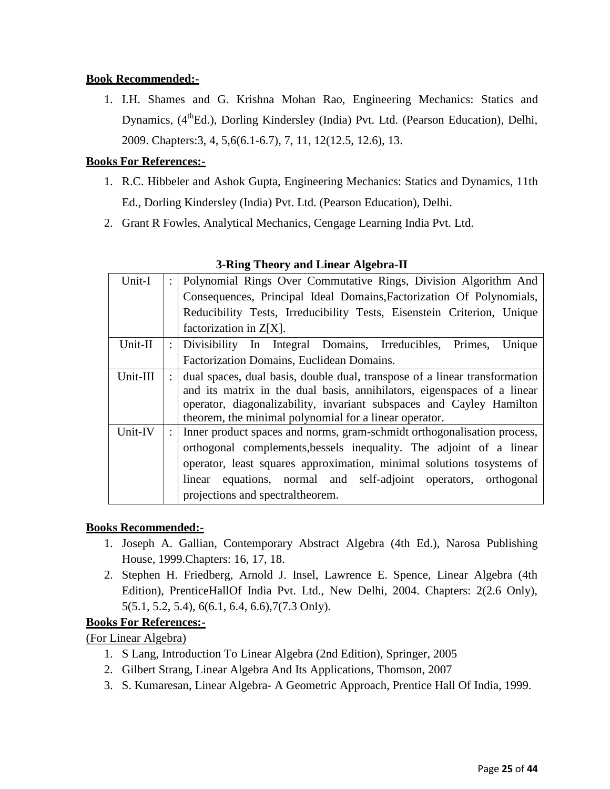1. I.H. Shames and G. Krishna Mohan Rao, Engineering Mechanics: Statics and Dynamics, (4<sup>th</sup>Ed.), Dorling Kindersley (India) Pvt. Ltd. (Pearson Education), Delhi, 2009. Chapters:3, 4, 5,6(6.1-6.7), 7, 11, 12(12.5, 12.6), 13.

## **Books For References:-**

- 1. R.C. Hibbeler and Ashok Gupta, Engineering Mechanics: Statics and Dynamics, 11th Ed., Dorling Kindersley (India) Pvt. Ltd. (Pearson Education), Delhi.
- 2. Grant R Fowles, Analytical Mechanics, Cengage Learning India Pvt. Ltd.

| Unit-I   | $\ddot{\phantom{a}}$ | Polynomial Rings Over Commutative Rings, Division Algorithm And            |
|----------|----------------------|----------------------------------------------------------------------------|
|          |                      | Consequences, Principal Ideal Domains, Factorization Of Polynomials,       |
|          |                      | Reducibility Tests, Irreducibility Tests, Eisenstein Criterion, Unique     |
|          |                      | factorization in $Z[X]$ .                                                  |
| Unit-II  |                      | Divisibility In Integral Domains, Irreducibles, Primes,<br>Unique          |
|          |                      | Factorization Domains, Euclidean Domains.                                  |
| Unit-III |                      | dual spaces, dual basis, double dual, transpose of a linear transformation |
|          |                      | and its matrix in the dual basis, annihilators, eigenspaces of a linear    |
|          |                      | operator, diagonalizability, invariant subspaces and Cayley Hamilton       |
|          |                      | theorem, the minimal polynomial for a linear operator.                     |
| Unit-IV  |                      | Inner product spaces and norms, gram-schmidt orthogonalisation process,    |
|          |                      | orthogonal complements, bessels inequality. The adjoint of a linear        |
|          |                      | operator, least squares approximation, minimal solutions tosystems of      |
|          |                      | linear equations, normal and self-adjoint operators, orthogonal            |
|          |                      | projections and spectral theorem.                                          |

## **3-Ring Theory and Linear Algebra-II**

## **Books Recommended:-**

- 1. Joseph A. Gallian, Contemporary Abstract Algebra (4th Ed.), Narosa Publishing House, 1999.Chapters: 16, 17, 18.
- 2. Stephen H. Friedberg, Arnold J. Insel, Lawrence E. Spence, Linear Algebra (4th Edition), PrenticeHallOf India Pvt. Ltd., New Delhi, 2004. Chapters: 2(2.6 Only), 5(5.1, 5.2, 5.4), 6(6.1, 6.4, 6.6),7(7.3 Only).

## **Books For References:-**

(For Linear Algebra)

- 1. S Lang, Introduction To Linear Algebra (2nd Edition), Springer, 2005
- 2. Gilbert Strang, Linear Algebra And Its Applications, Thomson, 2007
- 3. S. Kumaresan, Linear Algebra- A Geometric Approach, Prentice Hall Of India, 1999.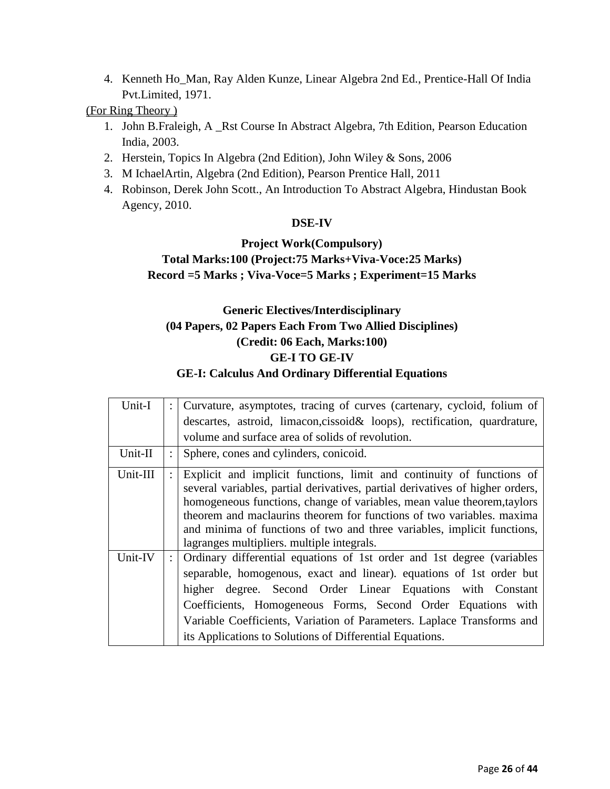4. Kenneth Ho\_Man, Ray Alden Kunze, Linear Algebra 2nd Ed., Prentice-Hall Of India Pvt.Limited, 1971.

## (For Ring Theory )

- 1. John B.Fraleigh, A \_Rst Course In Abstract Algebra, 7th Edition, Pearson Education India, 2003.
- 2. Herstein, Topics In Algebra (2nd Edition), John Wiley & Sons, 2006
- 3. M IchaelArtin, Algebra (2nd Edition), Pearson Prentice Hall, 2011
- 4. Robinson, Derek John Scott., An Introduction To Abstract Algebra, Hindustan Book Agency, 2010.

## **DSE-IV**

## **Project Work(Compulsory)**

## **Total Marks:100 (Project:75 Marks+Viva-Voce:25 Marks) Record =5 Marks ; Viva-Voce=5 Marks ; Experiment=15 Marks**

## **Generic Electives/Interdisciplinary (04 Papers, 02 Papers Each From Two Allied Disciplines) (Credit: 06 Each, Marks:100) GE-I TO GE-IV GE-I: Calculus And Ordinary Differential Equations**

| Unit-I   |                      | Curvature, asymptotes, tracing of curves (cartenary, cycloid, folium of                                                                                                                                                                                                                                                                                                                                                             |
|----------|----------------------|-------------------------------------------------------------------------------------------------------------------------------------------------------------------------------------------------------------------------------------------------------------------------------------------------------------------------------------------------------------------------------------------------------------------------------------|
|          |                      | descartes, astroid, limacon, cissoid & loops), rectification, quardrature,                                                                                                                                                                                                                                                                                                                                                          |
|          |                      | volume and surface area of solids of revolution.                                                                                                                                                                                                                                                                                                                                                                                    |
| Unit-II  |                      | Sphere, cones and cylinders, conicoid.                                                                                                                                                                                                                                                                                                                                                                                              |
| Unit-III |                      | Explicit and implicit functions, limit and continuity of functions of<br>several variables, partial derivatives, partial derivatives of higher orders,<br>homogeneous functions, change of variables, mean value theorem, taylors<br>theorem and maclaurins theorem for functions of two variables, maxima<br>and minima of functions of two and three variables, implicit functions,<br>lagranges multipliers. multiple integrals. |
| Unit-IV  | $\ddot{\phantom{a}}$ | Ordinary differential equations of 1st order and 1st degree (variables<br>separable, homogenous, exact and linear). equations of 1st order but<br>higher degree. Second Order Linear Equations with Constant<br>Coefficients, Homogeneous Forms, Second Order Equations with<br>Variable Coefficients, Variation of Parameters. Laplace Transforms and<br>its Applications to Solutions of Differential Equations.                  |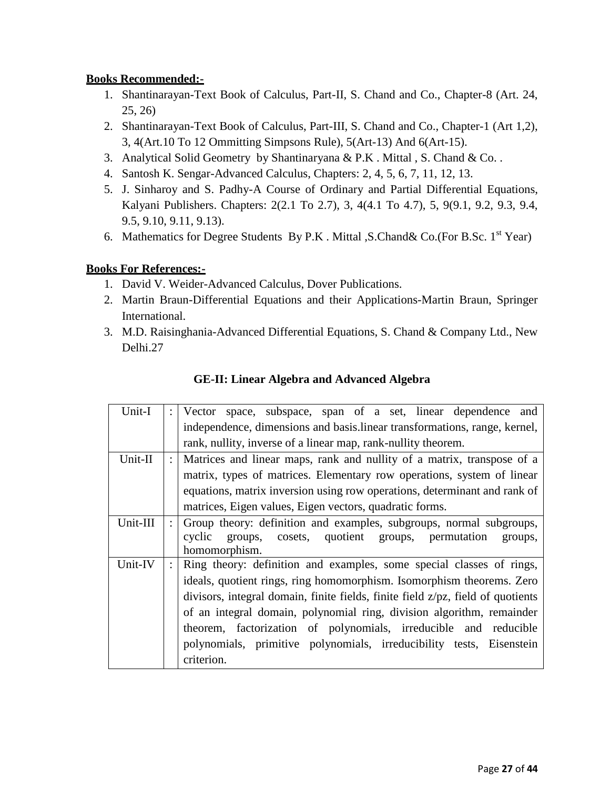- 1. Shantinarayan-Text Book of Calculus, Part-II, S. Chand and Co., Chapter-8 (Art. 24, 25, 26)
- 2. Shantinarayan-Text Book of Calculus, Part-III, S. Chand and Co., Chapter-1 (Art 1,2), 3, 4(Art.10 To 12 Ommitting Simpsons Rule), 5(Art-13) And 6(Art-15).
- 3. Analytical Solid Geometry by Shantinaryana & P.K . Mittal , S. Chand & Co. .
- 4. Santosh K. Sengar-Advanced Calculus, Chapters: 2, 4, 5, 6, 7, 11, 12, 13.
- 5. J. Sinharoy and S. Padhy-A Course of Ordinary and Partial Differential Equations, Kalyani Publishers. Chapters: 2(2.1 To 2.7), 3, 4(4.1 To 4.7), 5, 9(9.1, 9.2, 9.3, 9.4, 9.5, 9.10, 9.11, 9.13).
- 6. Mathematics for Degree Students By P.K. Mittal , S.Chand & Co.(For B.Sc.  $1<sup>st</sup>$  Year)

## **Books For References:-**

- 1. David V. Weider-Advanced Calculus, Dover Publications.
- 2. Martin Braun-Differential Equations and their Applications-Martin Braun, Springer International.
- 3. M.D. Raisinghania-Advanced Differential Equations, S. Chand & Company Ltd., New Delhi.27

| Unit-I   |                      | Vector space, subspace, span of a set, linear dependence and                    |
|----------|----------------------|---------------------------------------------------------------------------------|
|          |                      | independence, dimensions and basis.linear transformations, range, kernel,       |
|          |                      | rank, nullity, inverse of a linear map, rank-nullity theorem.                   |
| Unit-II  | $\ddot{\phantom{0}}$ | Matrices and linear maps, rank and nullity of a matrix, transpose of a          |
|          |                      | matrix, types of matrices. Elementary row operations, system of linear          |
|          |                      | equations, matrix inversion using row operations, determinant and rank of       |
|          |                      | matrices, Eigen values, Eigen vectors, quadratic forms.                         |
| Unit-III | $\ddot{\phantom{0}}$ | Group theory: definition and examples, subgroups, normal subgroups,             |
|          |                      | cyclic<br>groups, cosets, quotient groups, permutation<br>groups,               |
|          |                      | homomorphism.                                                                   |
| Unit-IV  |                      | Ring theory: definition and examples, some special classes of rings,            |
|          |                      | ideals, quotient rings, ring homomorphism. Isomorphism theorems. Zero           |
|          |                      | divisors, integral domain, finite fields, finite field z/pz, field of quotients |
|          |                      | of an integral domain, polynomial ring, division algorithm, remainder           |
|          |                      | theorem, factorization of polynomials, irreducible and reducible                |
|          |                      | polynomials, primitive polynomials, irreducibility tests, Eisenstein            |
|          |                      | criterion.                                                                      |

## **GE-II: Linear Algebra and Advanced Algebra**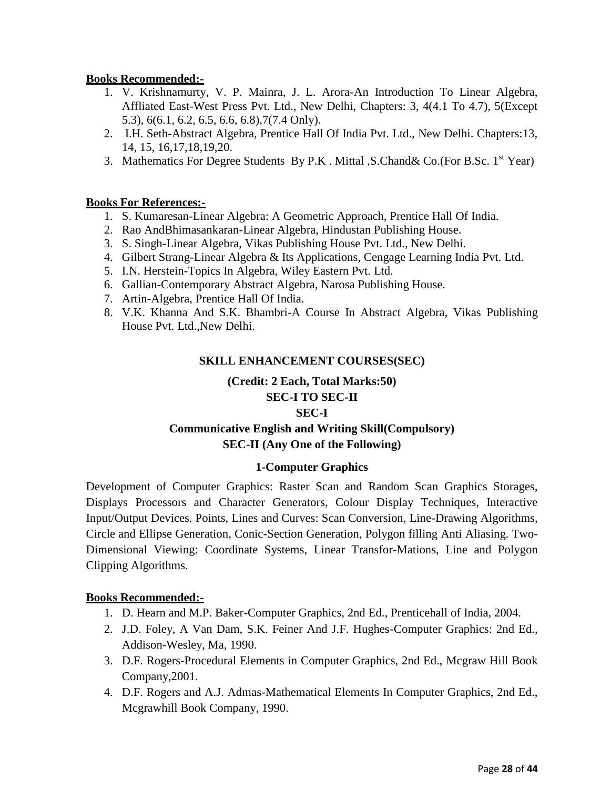- 1. V. Krishnamurty, V. P. Mainra, J. L. Arora-An Introduction To Linear Algebra, Affliated East-West Press Pvt. Ltd., New Delhi, Chapters: 3, 4(4.1 To 4.7), 5(Except 5.3), 6(6.1, 6.2, 6.5, 6.6, 6.8),7(7.4 Only).
- 2. I.H. Seth-Abstract Algebra, Prentice Hall Of India Pvt. Ltd., New Delhi. Chapters:13, 14, 15, 16,17,18,19,20.
- 3. Mathematics For Degree Students By P.K. Mittal , S.Chand & Co. (For B.Sc.  $1<sup>st</sup>$  Year)

## **Books For References:-**

- 1. S. Kumaresan-Linear Algebra: A Geometric Approach, Prentice Hall Of India.
- 2. Rao AndBhimasankaran-Linear Algebra, Hindustan Publishing House.
- 3. S. Singh-Linear Algebra, Vikas Publishing House Pvt. Ltd., New Delhi.
- 4. Gilbert Strang-Linear Algebra & Its Applications, Cengage Learning India Pvt. Ltd.
- 5. I.N. Herstein-Topics In Algebra, Wiley Eastern Pvt. Ltd.
- 6. Gallian-Contemporary Abstract Algebra, Narosa Publishing House.
- 7. Artin-Algebra, Prentice Hall Of India.
- 8. V.K. Khanna And S.K. Bhambri-A Course In Abstract Algebra, Vikas Publishing House Pvt. Ltd.,New Delhi.

## **SKILL ENHANCEMENT COURSES(SEC)**

## **(Credit: 2 Each, Total Marks:50) SEC-I TO SEC-II**

## **SEC-I**

## **Communicative English and Writing Skill(Compulsory) SEC-II (Any One of the Following)**

## **1-Computer Graphics**

Development of Computer Graphics: Raster Scan and Random Scan Graphics Storages, Displays Processors and Character Generators, Colour Display Techniques, Interactive Input/Output Devices. Points, Lines and Curves: Scan Conversion, Line-Drawing Algorithms, Circle and Ellipse Generation, Conic-Section Generation, Polygon filling Anti Aliasing. Two-Dimensional Viewing: Coordinate Systems, Linear Transfor-Mations, Line and Polygon Clipping Algorithms.

- 1. D. Hearn and M.P. Baker-Computer Graphics, 2nd Ed., Prenticehall of India, 2004.
- 2. J.D. Foley, A Van Dam, S.K. Feiner And J.F. Hughes-Computer Graphics: 2nd Ed., Addison-Wesley, Ma, 1990.
- 3. D.F. Rogers-Procedural Elements in Computer Graphics, 2nd Ed., Mcgraw Hill Book Company,2001.
- 4. D.F. Rogers and A.J. Admas-Mathematical Elements In Computer Graphics, 2nd Ed., Mcgrawhill Book Company, 1990.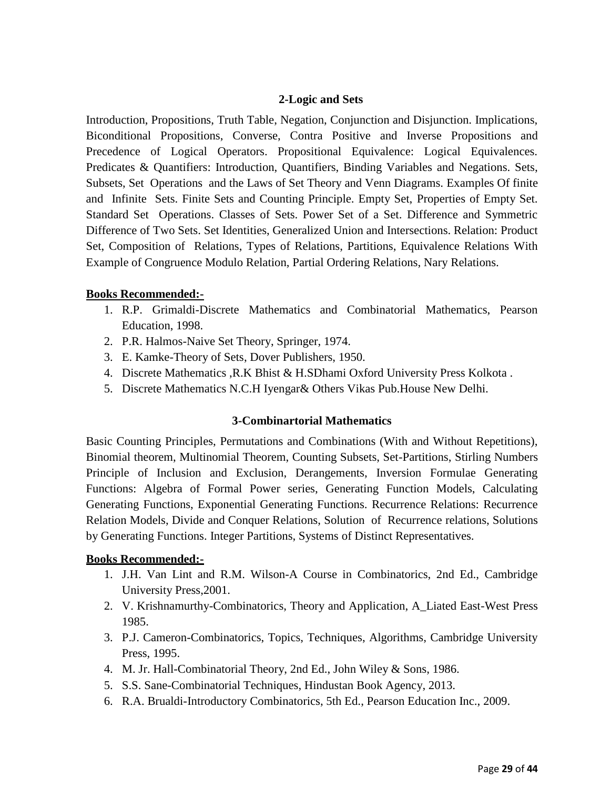## **2-Logic and Sets**

Introduction, Propositions, Truth Table, Negation, Conjunction and Disjunction. Implications, Biconditional Propositions, Converse, Contra Positive and Inverse Propositions and Precedence of Logical Operators. Propositional Equivalence: Logical Equivalences. Predicates & Quantifiers: Introduction, Quantifiers, Binding Variables and Negations. Sets, Subsets, Set Operations and the Laws of Set Theory and Venn Diagrams. Examples Of finite and Infinite Sets. Finite Sets and Counting Principle. Empty Set, Properties of Empty Set. Standard Set Operations. Classes of Sets. Power Set of a Set. Difference and Symmetric Difference of Two Sets. Set Identities, Generalized Union and Intersections. Relation: Product Set, Composition of Relations, Types of Relations, Partitions, Equivalence Relations With Example of Congruence Modulo Relation, Partial Ordering Relations, Nary Relations.

## **Books Recommended:-**

- 1. R.P. Grimaldi-Discrete Mathematics and Combinatorial Mathematics, Pearson Education, 1998.
- 2. P.R. Halmos-Naive Set Theory, Springer, 1974.
- 3. E. Kamke-Theory of Sets, Dover Publishers, 1950.
- 4. Discrete Mathematics ,R.K Bhist & H.SDhami Oxford University Press Kolkota .
- 5. Discrete Mathematics N.C.H Iyengar& Others Vikas Pub.House New Delhi.

## **3-Combinartorial Mathematics**

Basic Counting Principles, Permutations and Combinations (With and Without Repetitions), Binomial theorem, Multinomial Theorem, Counting Subsets, Set-Partitions, Stirling Numbers Principle of Inclusion and Exclusion, Derangements, Inversion Formulae Generating Functions: Algebra of Formal Power series, Generating Function Models, Calculating Generating Functions, Exponential Generating Functions. Recurrence Relations: Recurrence Relation Models, Divide and Conquer Relations, Solution of Recurrence relations, Solutions by Generating Functions. Integer Partitions, Systems of Distinct Representatives.

- 1. J.H. Van Lint and R.M. Wilson-A Course in Combinatorics, 2nd Ed., Cambridge University Press,2001.
- 2. V. Krishnamurthy-Combinatorics, Theory and Application, A\_Liated East-West Press 1985.
- 3. P.J. Cameron-Combinatorics, Topics, Techniques, Algorithms, Cambridge University Press, 1995.
- 4. M. Jr. Hall-Combinatorial Theory, 2nd Ed., John Wiley & Sons, 1986.
- 5. S.S. Sane-Combinatorial Techniques, Hindustan Book Agency, 2013.
- 6. R.A. Brualdi-Introductory Combinatorics, 5th Ed., Pearson Education Inc., 2009.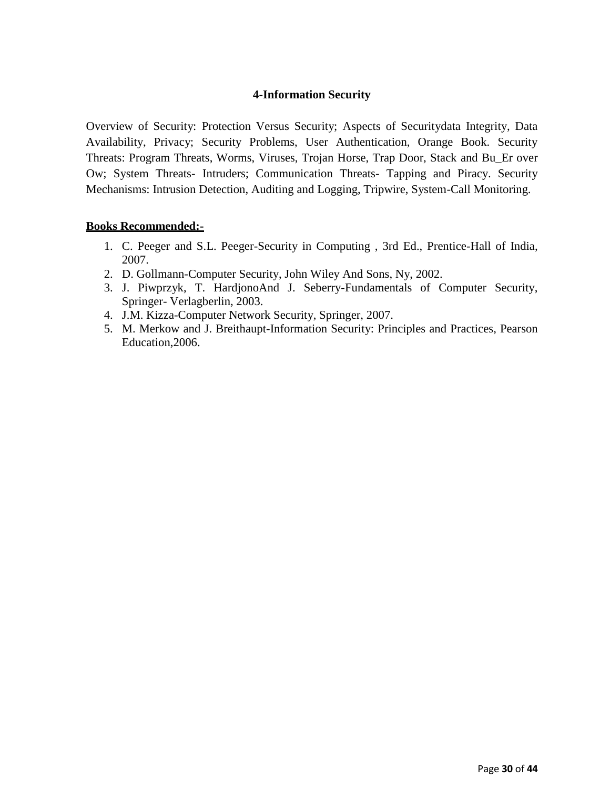## **4-Information Security**

Overview of Security: Protection Versus Security; Aspects of Securitydata Integrity, Data Availability, Privacy; Security Problems, User Authentication, Orange Book. Security Threats: Program Threats, Worms, Viruses, Trojan Horse, Trap Door, Stack and Bu\_Er over Ow; System Threats- Intruders; Communication Threats- Tapping and Piracy. Security Mechanisms: Intrusion Detection, Auditing and Logging, Tripwire, System-Call Monitoring.

- 1. C. Peeger and S.L. Peeger-Security in Computing , 3rd Ed., Prentice-Hall of India, 2007.
- 2. D. Gollmann-Computer Security, John Wiley And Sons, Ny, 2002.
- 3. J. Piwprzyk, T. HardjonoAnd J. Seberry-Fundamentals of Computer Security, Springer- Verlagberlin, 2003.
- 4. J.M. Kizza-Computer Network Security, Springer, 2007.
- 5. M. Merkow and J. Breithaupt-Information Security: Principles and Practices, Pearson Education,2006.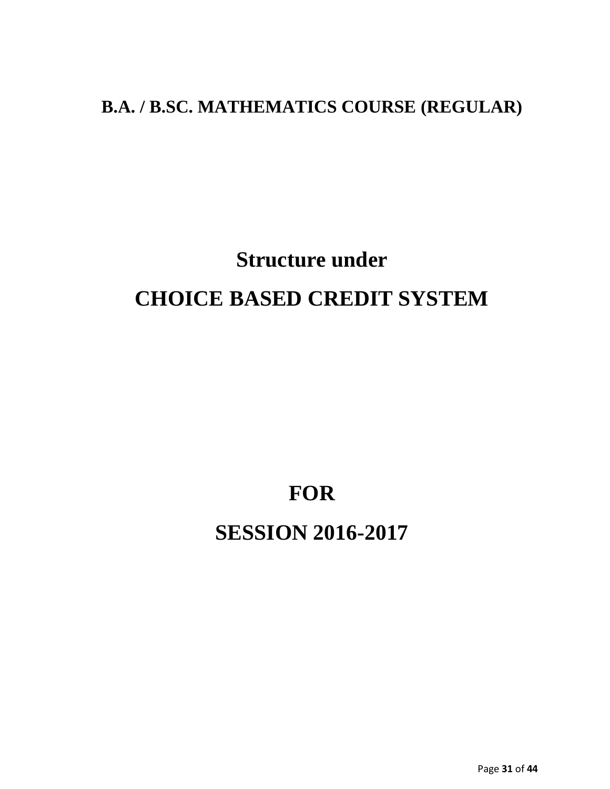## **B.A. / B.SC. MATHEMATICS COURSE (REGULAR)**

# **Structure under CHOICE BASED CREDIT SYSTEM**

**FOR** 

# **SESSION 2016-2017**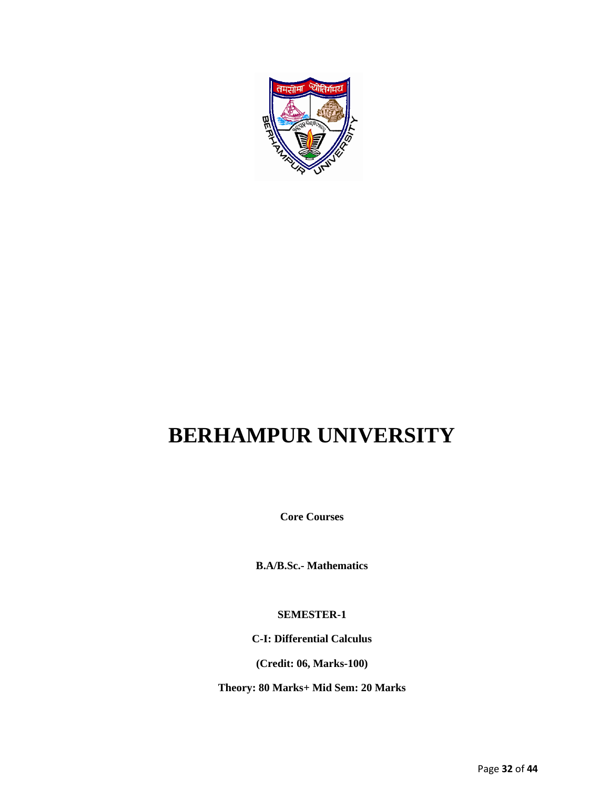

# **BERHAMPUR UNIVERSITY**

**Core Courses**

**B.A/B.Sc.- Mathematics**

**SEMESTER-1**

**C-I: Differential Calculus**

**(Credit: 06, Marks-100)**

**Theory: 80 Marks+ Mid Sem: 20 Marks**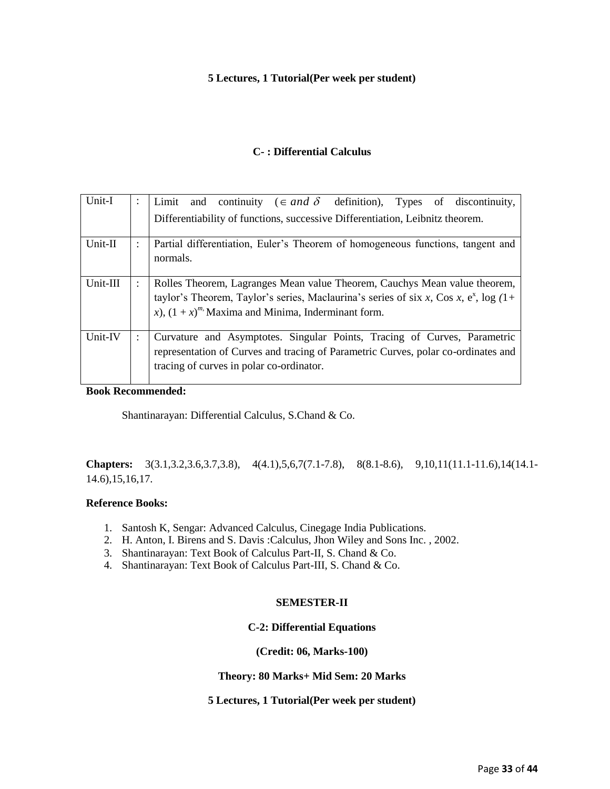#### **5 Lectures, 1 Tutorial(Per week per student)**

#### **C- : Differential Calculus**

| Unit-I    |                      | Limit and continuity ( $\in$ and $\delta$ definition), Types of discontinuity,                                                                                                                                                 |
|-----------|----------------------|--------------------------------------------------------------------------------------------------------------------------------------------------------------------------------------------------------------------------------|
|           |                      | Differentiability of functions, successive Differentiation, Leibnitz theorem.                                                                                                                                                  |
| $Unit-II$ |                      | Partial differentiation, Euler's Theorem of homogeneous functions, tangent and<br>normals.                                                                                                                                     |
| Unit-III  |                      | Rolles Theorem, Lagranges Mean value Theorem, Cauchys Mean value theorem,<br>taylor's Theorem, Taylor's series, Maclaurina's series of six x, Cos x, $e^x$ , log (1+<br>x), $(1 + x)^{m}$ Maxima and Minima, Inderminant form. |
| Unit-IV   | $\ddot{\phantom{a}}$ | Curvature and Asymptotes. Singular Points, Tracing of Curves, Parametric<br>representation of Curves and tracing of Parametric Curves, polar co-ordinates and<br>tracing of curves in polar co-ordinator.                      |

**Book Recommended:**

Shantinarayan: Differential Calculus, S.Chand & Co.

**Chapters:** 3(3.1,3.2,3.6,3.7,3.8), 4(4.1),5,6,7(7.1-7.8), 8(8.1-8.6), 9,10,11(11.1-11.6),14(14.1- 14.6),15,16,17.

#### **Reference Books:**

- 1. Santosh K, Sengar: Advanced Calculus, Cinegage India Publications.
- 2. H. Anton, I. Birens and S. Davis :Calculus, Jhon Wiley and Sons Inc. , 2002.
- 3. Shantinarayan: Text Book of Calculus Part-II, S. Chand & Co.
- 4. Shantinarayan: Text Book of Calculus Part-III, S. Chand & Co.

#### **SEMESTER-II**

#### **C-2: Differential Equations**

**(Credit: 06, Marks-100)**

**Theory: 80 Marks+ Mid Sem: 20 Marks**

#### **5 Lectures, 1 Tutorial(Per week per student)**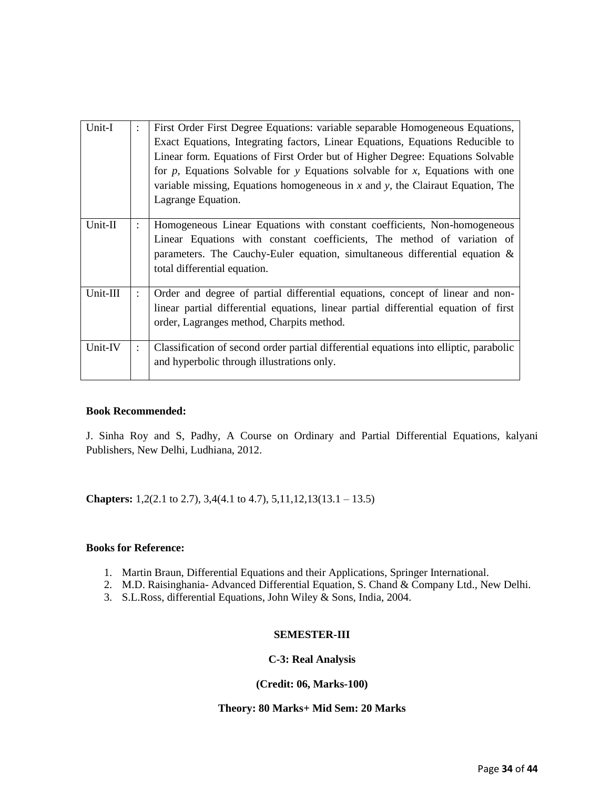| Unit-I   | $\ddot{\cdot}$ | First Order First Degree Equations: variable separable Homogeneous Equations,<br>Exact Equations, Integrating factors, Linear Equations, Equations Reducible to<br>Linear form. Equations of First Order but of Higher Degree: Equations Solvable<br>for $p$ , Equations Solvable for $y$ Equations solvable for $x$ , Equations with one<br>variable missing, Equations homogeneous in $x$ and $y$ , the Clairaut Equation, The<br>Lagrange Equation. |
|----------|----------------|--------------------------------------------------------------------------------------------------------------------------------------------------------------------------------------------------------------------------------------------------------------------------------------------------------------------------------------------------------------------------------------------------------------------------------------------------------|
| Unit-II  |                | Homogeneous Linear Equations with constant coefficients, Non-homogeneous<br>Linear Equations with constant coefficients, The method of variation of<br>parameters. The Cauchy-Euler equation, simultaneous differential equation $\&$<br>total differential equation.                                                                                                                                                                                  |
| Unit-III |                | Order and degree of partial differential equations, concept of linear and non-<br>linear partial differential equations, linear partial differential equation of first<br>order, Lagranges method, Charpits method.                                                                                                                                                                                                                                    |
| Unit-IV  |                | Classification of second order partial differential equations into elliptic, parabolic<br>and hyperbolic through illustrations only.                                                                                                                                                                                                                                                                                                                   |

J. Sinha Roy and S, Padhy, A Course on Ordinary and Partial Differential Equations, kalyani Publishers, New Delhi, Ludhiana, 2012.

**Chapters:** 1,2(2.1 to 2.7), 3,4(4.1 to 4.7), 5,11,12,13(13.1 – 13.5)

#### **Books for Reference:**

- 1. Martin Braun, Differential Equations and their Applications, Springer International.
- 2. M.D. Raisinghania- Advanced Differential Equation, S. Chand & Company Ltd., New Delhi.
- 3. S.L.Ross, differential Equations, John Wiley & Sons, India, 2004.

#### **SEMESTER-III**

#### **C-3: Real Analysis**

#### **(Credit: 06, Marks-100)**

#### **Theory: 80 Marks+ Mid Sem: 20 Marks**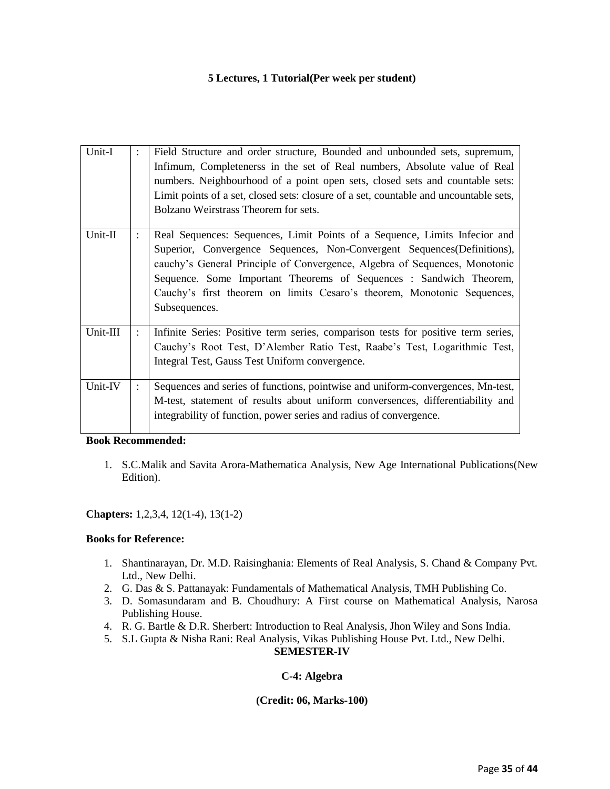#### **5 Lectures, 1 Tutorial(Per week per student)**

| Unit-I   | ÷ | Field Structure and order structure, Bounded and unbounded sets, supremum,<br>Infimum, Completenerss in the set of Real numbers, Absolute value of Real<br>numbers. Neighbourhood of a point open sets, closed sets and countable sets:<br>Limit points of a set, closed sets: closure of a set, countable and uncountable sets,<br>Bolzano Weirstrass Theorem for sets.                               |
|----------|---|--------------------------------------------------------------------------------------------------------------------------------------------------------------------------------------------------------------------------------------------------------------------------------------------------------------------------------------------------------------------------------------------------------|
| Unit-II  |   | Real Sequences: Sequences, Limit Points of a Sequence, Limits Infecior and<br>Superior, Convergence Sequences, Non-Convergent Sequences (Definitions),<br>cauchy's General Principle of Convergence, Algebra of Sequences, Monotonic<br>Sequence. Some Important Theorems of Sequences : Sandwich Theorem,<br>Cauchy's first theorem on limits Cesaro's theorem, Monotonic Sequences,<br>Subsequences. |
| Unit-III |   | Infinite Series: Positive term series, comparison tests for positive term series,<br>Cauchy's Root Test, D'Alember Ratio Test, Raabe's Test, Logarithmic Test,<br>Integral Test, Gauss Test Uniform convergence.                                                                                                                                                                                       |
| Unit-IV  |   | Sequences and series of functions, pointwise and uniform-convergences, Mn-test,<br>M-test, statement of results about uniform conversences, differentiability and<br>integrability of function, power series and radius of convergence.                                                                                                                                                                |

#### **Book Recommended:**

1. S.C.Malik and Savita Arora-Mathematica Analysis, New Age International Publications(New Edition).

#### **Chapters:** 1,2,3,4, 12(1-4), 13(1-2)

#### **Books for Reference:**

- 1. Shantinarayan, Dr. M.D. Raisinghania: Elements of Real Analysis, S. Chand & Company Pvt. Ltd., New Delhi.
- 2. G. Das & S. Pattanayak: Fundamentals of Mathematical Analysis, TMH Publishing Co.
- 3. D. Somasundaram and B. Choudhury: A First course on Mathematical Analysis, Narosa Publishing House.
- 4. R. G. Bartle & D.R. Sherbert: Introduction to Real Analysis, Jhon Wiley and Sons India.
- 5. S.L Gupta & Nisha Rani: Real Analysis, Vikas Publishing House Pvt. Ltd., New Delhi.

#### **SEMESTER-IV**

#### **C-4: Algebra**

#### **(Credit: 06, Marks-100)**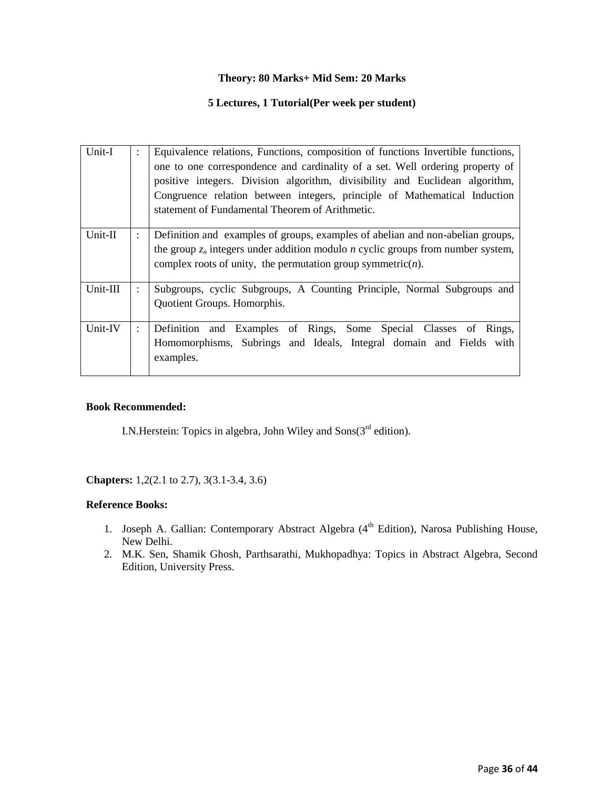#### **Theory: 80 Marks+ Mid Sem: 20 Marks**

#### **5 Lectures, 1 Tutorial(Per week per student)**

| Unit-I   | Equivalence relations, Functions, composition of functions Invertible functions,<br>one to one correspondence and cardinality of a set. Well ordering property of<br>positive integers. Division algorithm, divisibility and Euclidean algorithm,<br>Congruence relation between integers, principle of Mathematical Induction<br>statement of Fundamental Theorem of Arithmetic. |
|----------|-----------------------------------------------------------------------------------------------------------------------------------------------------------------------------------------------------------------------------------------------------------------------------------------------------------------------------------------------------------------------------------|
| Unit-II  | Definition and examples of groups, examples of abelian and non-abelian groups,<br>the group $z_n$ integers under addition modulo <i>n</i> cyclic groups from number system,<br>complex roots of unity, the permutation group symmetric $(n)$ .                                                                                                                                    |
| Unit-III | Subgroups, cyclic Subgroups, A Counting Principle, Normal Subgroups and<br>Quotient Groups. Homorphis.                                                                                                                                                                                                                                                                            |
| Unit-IV  | Definition and Examples of Rings, Some Special Classes of Rings,<br>Homomorphisms, Subrings and Ideals, Integral domain and Fields with<br>examples.                                                                                                                                                                                                                              |

## **Book Recommended:**

I.N.Herstein: Topics in algebra, John Wiley and  $Sons(3<sup>rd</sup> edition)$ .

**Chapters:** 1,2(2.1 to 2.7), 3(3.1-3.4, 3.6)

#### **Reference Books:**

- 1. Joseph A. Gallian: Contemporary Abstract Algebra (4<sup>th</sup> Edition), Narosa Publishing House, New Delhi.
- 2. M.K. Sen, Shamik Ghosh, Parthsarathi, Mukhopadhya: Topics in Abstract Algebra, Second Edition, University Press.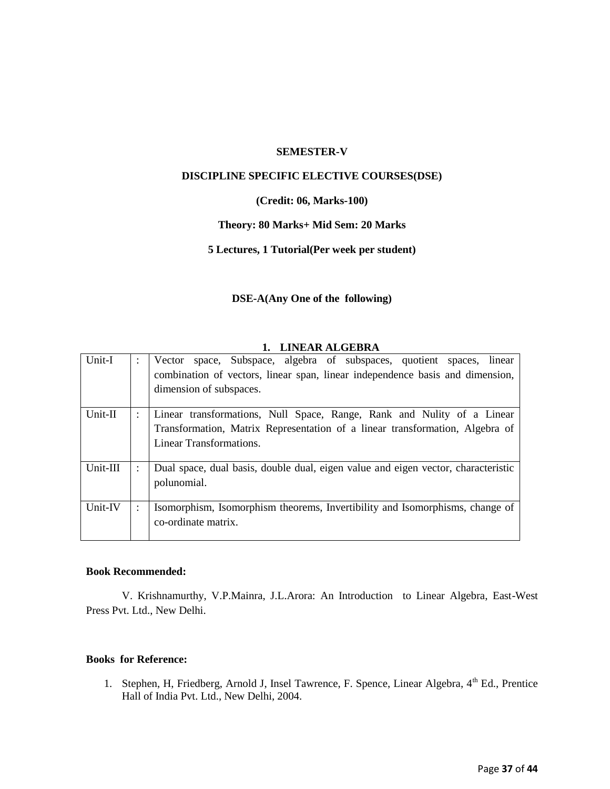#### **SEMESTER-V**

#### **DISCIPLINE SPECIFIC ELECTIVE COURSES(DSE)**

#### **(Credit: 06, Marks-100)**

#### **Theory: 80 Marks+ Mid Sem: 20 Marks**

#### **5 Lectures, 1 Tutorial(Per week per student)**

#### **DSE-A(Any One of the following)**

#### **1. LINEAR ALGEBRA**

| Unit-I   | Vector space, Subspace, algebra of subspaces, quotient spaces, linear<br>combination of vectors, linear span, linear independence basis and dimension,<br>dimension of subspaces. |
|----------|-----------------------------------------------------------------------------------------------------------------------------------------------------------------------------------|
| Unit-II  | Linear transformations, Null Space, Range, Rank and Nulity of a Linear                                                                                                            |
|          | Transformation, Matrix Representation of a linear transformation, Algebra of                                                                                                      |
|          | <b>Linear Transformations.</b>                                                                                                                                                    |
| Unit-III | Dual space, dual basis, double dual, eigen value and eigen vector, characteristic<br>polunomial.                                                                                  |
|          |                                                                                                                                                                                   |
| Unit-IV  | Isomorphism, Isomorphism theorems, Invertibility and Isomorphisms, change of<br>co-ordinate matrix.                                                                               |

#### **Book Recommended:**

V. Krishnamurthy, V.P.Mainra, J.L.Arora: An Introduction to Linear Algebra, East-West Press Pvt. Ltd., New Delhi.

#### **Books for Reference:**

1. Stephen, H, Friedberg, Arnold J, Insel Tawrence, F. Spence, Linear Algebra, 4<sup>th</sup> Ed., Prentice Hall of India Pvt. Ltd., New Delhi, 2004.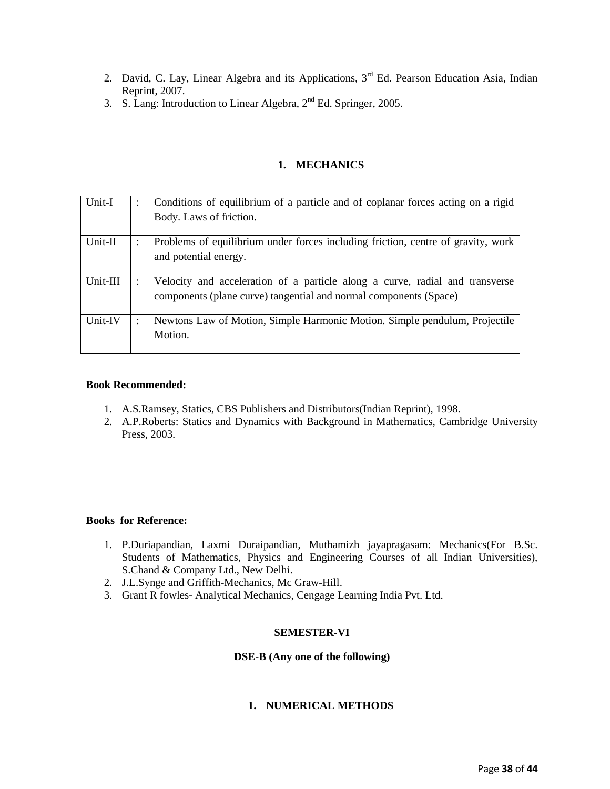- 2. David, C. Lay, Linear Algebra and its Applications,  $3<sup>rd</sup>$  Ed. Pearson Education Asia, Indian Reprint, 2007.
- 3. S. Lang: Introduction to Linear Algebra,  $2<sup>nd</sup>$  Ed. Springer, 2005.

#### **1. MECHANICS**

| Unit-I    | ٠ | Conditions of equilibrium of a particle and of coplanar forces acting on a rigid                                                                  |
|-----------|---|---------------------------------------------------------------------------------------------------------------------------------------------------|
|           |   | Body. Laws of friction.                                                                                                                           |
| $Unit-II$ |   | Problems of equilibrium under forces including friction, centre of gravity, work<br>and potential energy.                                         |
| Unit-III  |   | Velocity and acceleration of a particle along a curve, radial and transverse<br>components (plane curve) tangential and normal components (Space) |
| Unit-IV   |   | Newtons Law of Motion, Simple Harmonic Motion. Simple pendulum, Projectile<br>Motion.                                                             |

#### **Book Recommended:**

- 1. A.S.Ramsey, Statics, CBS Publishers and Distributors(Indian Reprint), 1998.
- 2. A.P.Roberts: Statics and Dynamics with Background in Mathematics, Cambridge University Press, 2003.

#### **Books for Reference:**

- 1. P.Duriapandian, Laxmi Duraipandian, Muthamizh jayapragasam: Mechanics(For B.Sc. Students of Mathematics, Physics and Engineering Courses of all Indian Universities), S.Chand & Company Ltd., New Delhi.
- 2. J.L.Synge and Griffith-Mechanics, Mc Graw-Hill.
- 3. Grant R fowles- Analytical Mechanics, Cengage Learning India Pvt. Ltd.

#### **SEMESTER-VI**

#### **DSE-B (Any one of the following)**

#### **1. NUMERICAL METHODS**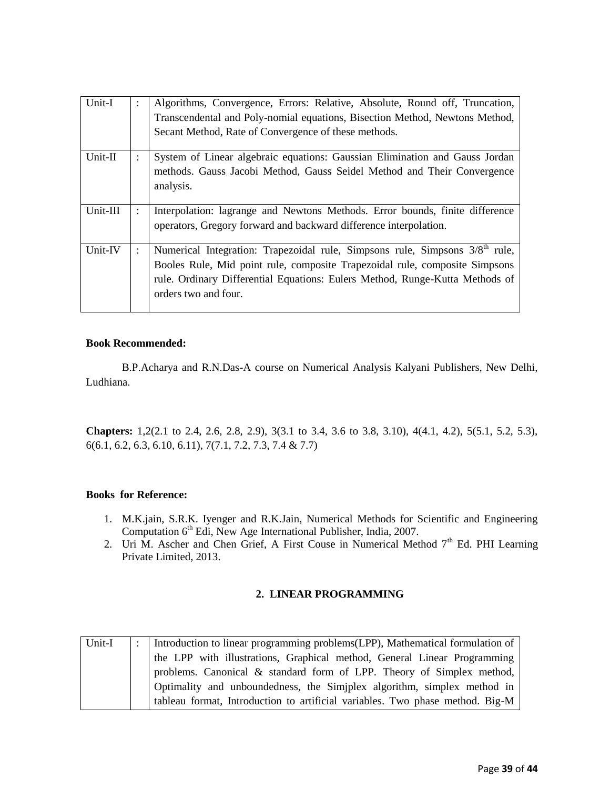| Unit-I    | Algorithms, Convergence, Errors: Relative, Absolute, Round off, Truncation,<br>Transcendental and Poly-nomial equations, Bisection Method, Newtons Method,<br>Secant Method, Rate of Convergence of these methods.                                                              |
|-----------|---------------------------------------------------------------------------------------------------------------------------------------------------------------------------------------------------------------------------------------------------------------------------------|
| $Unit-II$ | System of Linear algebraic equations: Gaussian Elimination and Gauss Jordan<br>methods. Gauss Jacobi Method, Gauss Seidel Method and Their Convergence<br>analysis.                                                                                                             |
| Unit-III  | Interpolation: lagrange and Newtons Methods. Error bounds, finite difference<br>operators, Gregory forward and backward difference interpolation.                                                                                                                               |
| Unit-IV   | Numerical Integration: Trapezoidal rule, Simpsons rule, Simpsons 3/8 <sup>th</sup> rule,<br>Booles Rule, Mid point rule, composite Trapezoidal rule, composite Simpsons<br>rule. Ordinary Differential Equations: Eulers Method, Runge-Kutta Methods of<br>orders two and four. |

B.P.Acharya and R.N.Das-A course on Numerical Analysis Kalyani Publishers, New Delhi, Ludhiana.

**Chapters:** 1,2(2.1 to 2.4, 2.6, 2.8, 2.9), 3(3.1 to 3.4, 3.6 to 3.8, 3.10), 4(4.1, 4.2), 5(5.1, 5.2, 5.3), 6(6.1, 6.2, 6.3, 6.10, 6.11), 7(7.1, 7.2, 7.3, 7.4 & 7.7)

#### **Books for Reference:**

- 1. M.K.jain, S.R.K. Iyenger and R.K.Jain, Numerical Methods for Scientific and Engineering Computation  $6<sup>th</sup>$  Edi, New Age International Publisher, India, 2007.
- 2. Uri M. Ascher and Chen Grief, A First Couse in Numerical Method  $7<sup>th</sup>$  Ed. PHI Learning Private Limited, 2013.

#### **2. LINEAR PROGRAMMING**

| Unit-I | :   Introduction to linear programming problems(LPP), Mathematical formulation of |
|--------|-----------------------------------------------------------------------------------|
|        | the LPP with illustrations, Graphical method, General Linear Programming          |
|        | problems. Canonical & standard form of LPP. Theory of Simplex method,             |
|        | Optimality and unboundedness, the Simjplex algorithm, simplex method in           |
|        | tableau format, Introduction to artificial variables. Two phase method. Big-M     |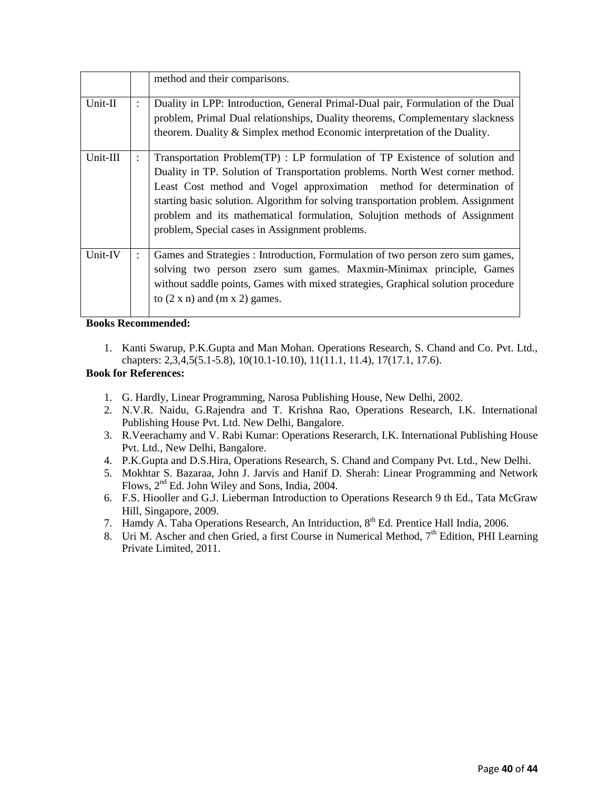|          |                      | method and their comparisons.                                                                                                                                                                                                                                                                                                                                                                                                                             |
|----------|----------------------|-----------------------------------------------------------------------------------------------------------------------------------------------------------------------------------------------------------------------------------------------------------------------------------------------------------------------------------------------------------------------------------------------------------------------------------------------------------|
| Unit-II  | $\ddot{\phantom{0}}$ | Duality in LPP: Introduction, General Primal-Dual pair, Formulation of the Dual<br>problem, Primal Dual relationships, Duality theorems, Complementary slackness<br>theorem. Duality & Simplex method Economic interpretation of the Duality.                                                                                                                                                                                                             |
| Unit-III |                      | Transportation Problem(TP) : LP formulation of TP Existence of solution and<br>Duality in TP. Solution of Transportation problems. North West corner method.<br>Least Cost method and Vogel approximation method for determination of<br>starting basic solution. Algorithm for solving transportation problem. Assignment<br>problem and its mathematical formulation, Solujtion methods of Assignment<br>problem, Special cases in Assignment problems. |
| Unit-IV  |                      | Games and Strategies : Introduction, Formulation of two person zero sum games,<br>solving two person zsero sum games. Maxmin-Minimax principle, Games<br>without saddle points, Games with mixed strategies, Graphical solution procedure<br>to $(2 \times n)$ and $(m \times 2)$ games.                                                                                                                                                                  |

1. Kanti Swarup, P.K.Gupta and Man Mohan. Operations Research, S. Chand and Co. Pvt. Ltd., chapters: 2,3,4,5(5.1-5.8), 10(10.1-10.10), 11(11.1, 11.4), 17(17.1, 17.6).

#### **Book for References:**

- 1. G. Hardly, Linear Programming, Narosa Publishing House, New Delhi, 2002.
- 2. N.V.R. Naidu, G.Rajendra and T. Krishna Rao, Operations Research, I.K. International Publishing House Pvt. Ltd. New Delhi, Bangalore.
- 3. R.Veerachamy and V. Rabi Kumar: Operations Reserarch, I.K. International Publishing House Pvt. Ltd., New Delhi, Bangalore.
- 4. P.K.Gupta and D.S.Hira, Operations Research, S. Chand and Company Pvt. Ltd., New Delhi.
- 5. Mokhtar S. Bazaraa, John J. Jarvis and Hanif D. Sherah: Linear Programming and Network Flows, 2nd Ed. John Wiley and Sons, India, 2004.
- 6. F.S. Hiooller and G.J. Lieberman Introduction to Operations Research 9 th Ed., Tata McGraw Hill, Singapore, 2009.
- 7. Hamdy A. Taha Operations Research, An Intriduction,  $8<sup>th</sup>$  Ed. Prentice Hall India, 2006.
- 8. Uri M. Ascher and chen Gried, a first Course in Numerical Method,  $7<sup>th</sup>$  Edition, PHI Learning Private Limited, 2011.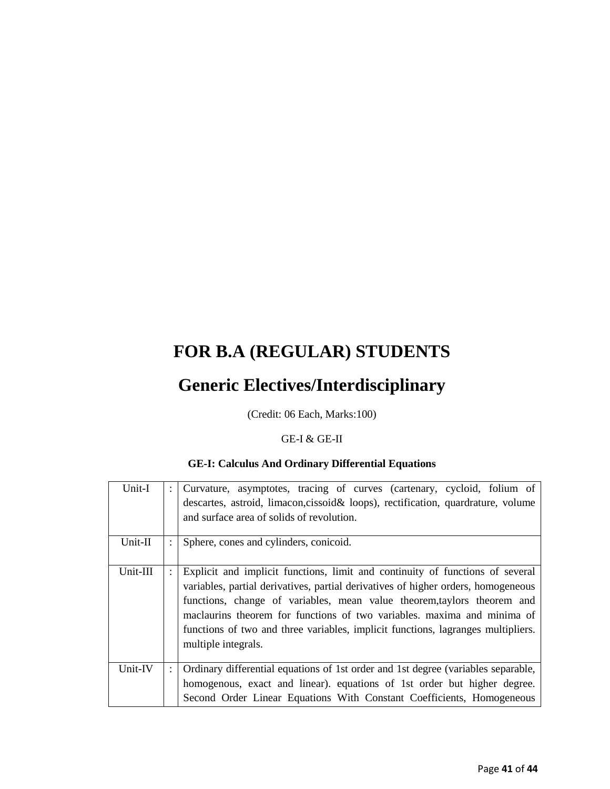# **FOR B.A (REGULAR) STUDENTS**

## **Generic Electives/Interdisciplinary**

(Credit: 06 Each, Marks:100)

## GE-I & GE-II

## **GE-I: Calculus And Ordinary Differential Equations**

| Unit-I   | ÷                    | Curvature, asymptotes, tracing of curves (cartenary, cycloid, folium of<br>descartes, astroid, limacon, cissoid & loops), rectification, quardrature, volume<br>and surface area of solids of revolution.                                                                                                                                                                                                                           |
|----------|----------------------|-------------------------------------------------------------------------------------------------------------------------------------------------------------------------------------------------------------------------------------------------------------------------------------------------------------------------------------------------------------------------------------------------------------------------------------|
| Unit-II  |                      | Sphere, cones and cylinders, conicoid.                                                                                                                                                                                                                                                                                                                                                                                              |
| Unit-III |                      | Explicit and implicit functions, limit and continuity of functions of several<br>variables, partial derivatives, partial derivatives of higher orders, homogeneous<br>functions, change of variables, mean value theorem, taylors theorem and<br>maclaurins theorem for functions of two variables. maxima and minima of<br>functions of two and three variables, implicit functions, lagranges multipliers.<br>multiple integrals. |
| Unit-IV  | $\ddot{\phantom{a}}$ | Ordinary differential equations of 1st order and 1st degree (variables separable,<br>homogenous, exact and linear). equations of 1st order but higher degree.<br>Second Order Linear Equations With Constant Coefficients, Homogeneous                                                                                                                                                                                              |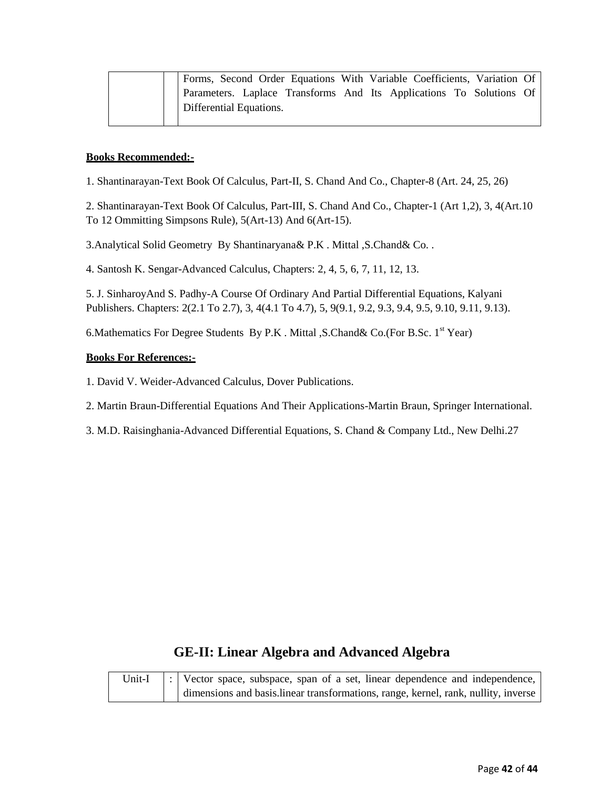| Forms, Second Order Equations With Variable Coefficients, Variation Of |
|------------------------------------------------------------------------|
| Parameters. Laplace Transforms And Its Applications To Solutions Of    |
| Differential Equations.                                                |

1. Shantinarayan-Text Book Of Calculus, Part-II, S. Chand And Co., Chapter-8 (Art. 24, 25, 26)

2. Shantinarayan-Text Book Of Calculus, Part-III, S. Chand And Co., Chapter-1 (Art 1,2), 3, 4(Art.10 To 12 Ommitting Simpsons Rule), 5(Art-13) And 6(Art-15).

3.Analytical Solid Geometry By Shantinaryana& P.K . Mittal ,S.Chand& Co. .

4. Santosh K. Sengar-Advanced Calculus, Chapters: 2, 4, 5, 6, 7, 11, 12, 13.

5. J. SinharoyAnd S. Padhy-A Course Of Ordinary And Partial Differential Equations, Kalyani Publishers. Chapters: 2(2.1 To 2.7), 3, 4(4.1 To 4.7), 5, 9(9.1, 9.2, 9.3, 9.4, 9.5, 9.10, 9.11, 9.13).

6. Mathematics For Degree Students By P.K. Mittal , S. Chand & Co. (For B.Sc.  $1<sup>st</sup>$  Year)

#### **Books For References:-**

1. David V. Weider-Advanced Calculus, Dover Publications.

2. Martin Braun-Differential Equations And Their Applications-Martin Braun, Springer International.

3. M.D. Raisinghania-Advanced Differential Equations, S. Chand & Company Ltd., New Delhi.27

## **GE-II: Linear Algebra and Advanced Algebra**

| Unit-I | $\vert$ : Vector space, subspace, span of a set, linear dependence and independence, |
|--------|--------------------------------------------------------------------------------------|
|        | dimensions and basis. linear transformations, range, kernel, rank, nullity, inverse  |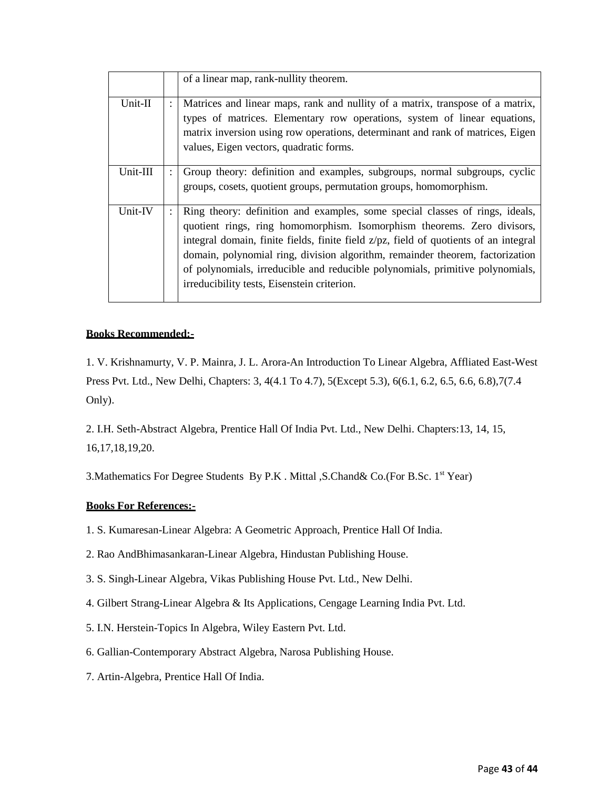|           |                | of a linear map, rank-nullity theorem.                                                                                                                                                                                                                                                                                                                                                                                                                           |
|-----------|----------------|------------------------------------------------------------------------------------------------------------------------------------------------------------------------------------------------------------------------------------------------------------------------------------------------------------------------------------------------------------------------------------------------------------------------------------------------------------------|
| $Unit-II$ | $\ddot{\cdot}$ | Matrices and linear maps, rank and nullity of a matrix, transpose of a matrix,<br>types of matrices. Elementary row operations, system of linear equations,<br>matrix inversion using row operations, determinant and rank of matrices, Eigen<br>values, Eigen vectors, quadratic forms.                                                                                                                                                                         |
| Unit-III  |                | Group theory: definition and examples, subgroups, normal subgroups, cyclic<br>groups, cosets, quotient groups, permutation groups, homomorphism.                                                                                                                                                                                                                                                                                                                 |
| Unit-IV   |                | Ring theory: definition and examples, some special classes of rings, ideals,<br>quotient rings, ring homomorphism. Isomorphism theorems. Zero divisors,<br>integral domain, finite fields, finite field z/pz, field of quotients of an integral<br>domain, polynomial ring, division algorithm, remainder theorem, factorization<br>of polynomials, irreducible and reducible polynomials, primitive polynomials,<br>irreducibility tests, Eisenstein criterion. |

1. V. Krishnamurty, V. P. Mainra, J. L. Arora-An Introduction To Linear Algebra, Affliated East-West Press Pvt. Ltd., New Delhi, Chapters: 3, 4(4.1 To 4.7), 5(Except 5.3), 6(6.1, 6.2, 6.5, 6.6, 6.8),7(7.4 Only).

2. I.H. Seth-Abstract Algebra, Prentice Hall Of India Pvt. Ltd., New Delhi. Chapters:13, 14, 15, 16,17,18,19,20.

3. Mathematics For Degree Students By P.K. Mittal , S. Chand & Co. (For B.Sc. 1<sup>st</sup> Year)

## **Books For References:-**

- 1. S. Kumaresan-Linear Algebra: A Geometric Approach, Prentice Hall Of India.
- 2. Rao AndBhimasankaran-Linear Algebra, Hindustan Publishing House.
- 3. S. Singh-Linear Algebra, Vikas Publishing House Pvt. Ltd., New Delhi.
- 4. Gilbert Strang-Linear Algebra & Its Applications, Cengage Learning India Pvt. Ltd.
- 5. I.N. Herstein-Topics In Algebra, Wiley Eastern Pvt. Ltd.
- 6. Gallian-Contemporary Abstract Algebra, Narosa Publishing House.
- 7. Artin-Algebra, Prentice Hall Of India.